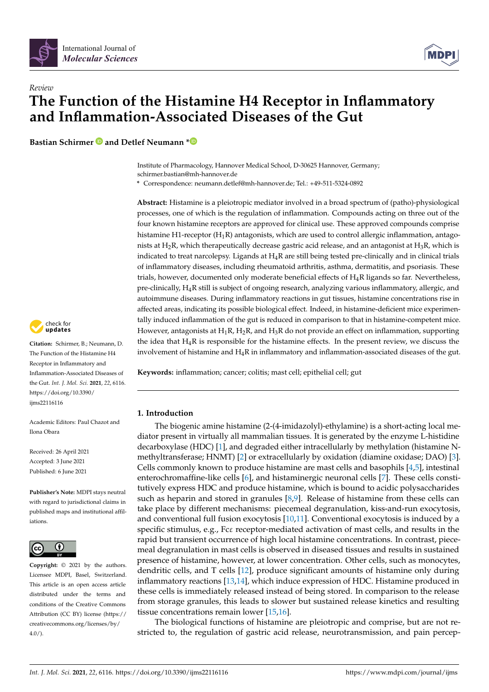

# *Review* **The Function of the Histamine H4 Receptor in Inflammatory and Inflammation-Associated Diseases of the Gut**

**Bastian Schirmer and Detlef Neumann \***

Institute of Pharmacology, Hannover Medical School, D-30625 Hannover, Germany; schirmer.bastian@mh-hannover.de

**\*** Correspondence: neumann.detlef@mh-hannover.de; Tel.: +49-511-5324-0892

**Abstract:** Histamine is a pleiotropic mediator involved in a broad spectrum of (patho)-physiological processes, one of which is the regulation of inflammation. Compounds acting on three out of the four known histamine receptors are approved for clinical use. These approved compounds comprise histamine H1-receptor  $(H_1R)$  antagonists, which are used to control allergic inflammation, antagonists at  $H_2R$ , which therapeutically decrease gastric acid release, and an antagonist at  $H_3R$ , which is indicated to treat narcolepsy. Ligands at  $H_4R$  are still being tested pre-clinically and in clinical trials of inflammatory diseases, including rheumatoid arthritis, asthma, dermatitis, and psoriasis. These trials, however, documented only moderate beneficial effects of  $H_4R$  ligands so far. Nevertheless, pre-clinically, H4R still is subject of ongoing research, analyzing various inflammatory, allergic, and autoimmune diseases. During inflammatory reactions in gut tissues, histamine concentrations rise in affected areas, indicating its possible biological effect. Indeed, in histamine-deficient mice experimentally induced inflammation of the gut is reduced in comparison to that in histamine-competent mice. However, antagonists at  $H_1R$ ,  $H_2R$ , and  $H_3R$  do not provide an effect on inflammation, supporting the idea that  $H_4R$  is responsible for the histamine effects. In the present review, we discuss the involvement of histamine and  $H_4R$  in inflammatory and inflammation-associated diseases of the gut.

**Keywords:** inflammation; cancer; colitis; mast cell; epithelial cell; gut

# **1. Introduction**

The biogenic amine histamine (2-(4-imidazolyl)-ethylamine) is a short-acting local mediator present in virtually all mammalian tissues. It is generated by the enzyme L-histidine decarboxylase (HDC) [1], and degraded either intracellularly by methylation (histamine Nmethyltransferase; HNMT) [2] or extracellularly by oxidation (diamine oxidase; DAO) [3]. Cells commonly known to produce histamine are mast cells and basophils [4,5], intestinal enterochromaffine-like cells [6], and histaminergic neuronal cells [7]. These cells constitutively express HDC and produce histamine, which is bound to acidic polysaccharides such as heparin and stored in granules [8,9]. Release of histamine from these cells can take place by different mechanisms: piecemeal degranulation, kiss-and-run exocytosis, and conventional full fusion exocytosis [10,11]. Conventional exocytosis is induced by a specific stimulus, e.g., Fcε receptor-mediated activation of mast cells, and results in the rapid but transient occurrence of high local histamine concentrations. In contrast, piecemeal degranulation in mast cells is observed in diseased tissues and results in sustained presence of histamine, however, at lower concentration. Other cells, such as monocytes, dendritic cells, and T cells [12], produce significant amounts of histamine only during inflammatory reactions [13,14], which induce expression of HDC. Histamine produced in these cells is immediately released instead of being stored. In comparison to the release from storage granules, this leads to slower but sustained release kinetics and resulting tissue concentrations remain lower [15,16].

The biological functions of histamine are pleiotropic and comprise, but are not restricted to, the regulation of gastric acid release, neurotransmission, and pain percep-



**Citation:** Schirmer, B.; Neumann, D. The Function of the Histamine H4 Receptor in Inflammatory and Inflammation-Associated Diseases of the Gut. *Int. J. Mol. Sci.* **2021**, *22*, 6116. https://doi.org/10.3390/ ijms22116116

Academic Editors: Paul Chazot and Ilona Obara

Received: 26 April 2021 Accepted: 3 June 2021 Published: 6 June 2021

**Publisher's Note:** MDPI stays neutral with regard to jurisdictional claims in published maps and institutional affiliations.



**Copyright:** © 2021 by the authors. Licensee MDPI, Basel, Switzerland. This article is an open access article distributed under the terms and conditions of the Creative Commons Attribution (CC BY) license (https:// creativecommons.org/licenses/by/  $4.0/$ ).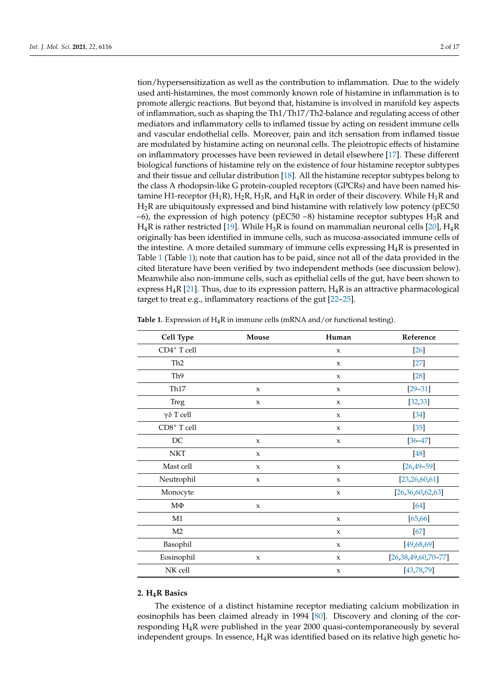tion/hypersensitization as well as the contribution to inflammation. Due to the widely used anti-histamines, the most commonly known role of histamine in inflammation is to promote allergic reactions. But beyond that, histamine is involved in manifold key aspects of inflammation, such as shaping the Th1/Th17/Th2-balance and regulating access of other mediators and inflammatory cells to inflamed tissue by acting on resident immune cells and vascular endothelial cells. Moreover, pain and itch sensation from inflamed tissue are modulated by histamine acting on neuronal cells. The pleiotropic effects of histamine on inflammatory processes have been reviewed in detail elsewhere [17]. These different biological functions of histamine rely on the existence of four histamine receptor subtypes and their tissue and cellular distribution [18]. All the histamine receptor subtypes belong to the class A rhodopsin-like G protein-coupled receptors (GPCRs) and have been named histamine H1-receptor (H<sub>1</sub>R), H<sub>2</sub>R, H<sub>3</sub>R, and H<sub>4</sub>R in order of their discovery. While H<sub>1</sub>R and  $H_2R$  are ubiquitously expressed and bind histamine with relatively low potency (pEC50)  $\sim$ 6), the expression of high potency (pEC50  $\sim$ 8) histamine receptor subtypes H<sub>3</sub>R and  $H_4R$  is rather restricted [19]. While  $H_3R$  is found on mammalian neuronal cells [20],  $H_4R$ originally has been identified in immune cells, such as mucosa-associated immune cells of the intestine. A more detailed summary of immune cells expressing  $H_4R$  is presented in Table 1 (Table 1); note that caution has to be paid, since not all of the data provided in the cited literature have been verified by two independent methods (see discussion below). Meanwhile also non-immune cells, such as epithelial cells of the gut, have been shown to express  $H_4R$  [21]. Thus, due to its expression pattern,  $H_4R$  is an attractive pharmacological target to treat e.g., inflammatory reactions of the gut [22–25].

| Cell Type               | Mouse       | Human                     | Reference             |
|-------------------------|-------------|---------------------------|-----------------------|
| CD4 <sup>+</sup> T cell |             | $\mathbf x$               | $[26]$                |
| Th <sub>2</sub>         |             | $\mathbf x$               | $[27]$                |
| Th <sub>9</sub>         |             | $\mathbf{x}$              | $[28]$                |
| Th <sub>17</sub>        | $\mathbf x$ | $\mathsf X$               | $[29 - 31]$           |
| Treg                    | $\mathbf x$ | $\mathsf X$               | [32, 33]              |
| γδ T cell               |             | $\mathsf X$               | $[34]$                |
| CD8+ T cell             |             | $\mathsf X$               | $[35]$                |
| $\rm DC$                | $\mathbf x$ | $\mathsf X$               | $[36 - 47]$           |
| <b>NKT</b>              | $\mathbf x$ |                           | [48]                  |
| Mast cell               | $\mathbf x$ | $\boldsymbol{\mathsf{X}}$ | $[26, 49 - 59]$       |
| Neutrophil              | $\mathbf x$ | $\mathsf X$               | [23, 26, 60, 61]      |
| Monocyte                |             | $\mathsf X$               | [26,36,60,62,63]      |
| $M\Phi$                 | X           |                           | $[64]$                |
| M1                      |             | $\mathsf X$               | [65, 66]              |
| M <sub>2</sub>          |             | $\mathsf X$               | $[67]$                |
| Basophil                |             | $\mathsf X$               | [49, 68, 69]          |
| Eosinophil              | X           | $\mathsf X$               | $[26,38,49,60,70-77]$ |
| NK cell                 |             | $\mathsf X$               | [43, 78, 79]          |

Table 1. Expression of H<sub>4</sub>R in immune cells (mRNA and/or functional testing).

## **2. H4R Basics**

The existence of a distinct histamine receptor mediating calcium mobilization in eosinophils has been claimed already in 1994 [80]. Discovery and cloning of the corresponding H4R were published in the year 2000 quasi-contemporaneously by several independent groups. In essence,  $H_4R$  was identified based on its relative high genetic ho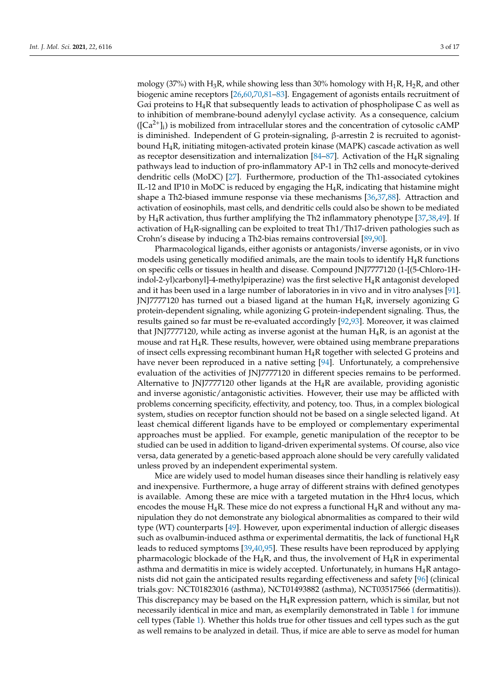mology (37%) with H<sub>3</sub>R, while showing less than 30% homology with H<sub>1</sub>R, H<sub>2</sub>R, and other biogenic amine receptors [26,60,70,81–83]. Engagement of agonists entails recruitment of G $\alpha$ i proteins to H<sub>4</sub>R that subsequently leads to activation of phospholipase C as well as to inhibition of membrane-bound adenylyl cyclase activity. As a consequence, calcium  $([Ca<sup>2+</sup>]$ <sub>i</sub>) is mobilized from intracellular stores and the concentration of cytosolic cAMP is diminished. Independent of G protein-signaling, β-arrestin 2 is recruited to agonistbound  $H_4R$ , initiating mitogen-activated protein kinase (MAPK) cascade activation as well as receptor desensitization and internalization  $[84–87]$ . Activation of the H<sub>4</sub>R signaling pathways lead to induction of pro-inflammatory AP-1 in Th2 cells and monocyte-derived dendritic cells (MoDC) [27]. Furthermore, production of the Th1-associated cytokines IL-12 and IP10 in MoDC is reduced by engaging the  $H_4R$ , indicating that histamine might shape a Th2-biased immune response via these mechanisms [36,37,88]. Attraction and activation of eosinophils, mast cells, and dendritic cells could also be shown to be mediated by  $H_4R$  activation, thus further amplifying the Th2 inflammatory phenotype [37,38,49]. If activation of H4R-signalling can be exploited to treat Th1/Th17-driven pathologies such as Crohn's disease by inducing a Th2-bias remains controversial [89,90].

Pharmacological ligands, either agonists or antagonists/inverse agonists, or in vivo models using genetically modified animals, are the main tools to identify  $H_4R$  functions on specific cells or tissues in health and disease. Compound JNJ7777120 (1-[(5-Chloro-1Hindol-2-yl)carbonyl]-4-methylpiperazine) was the first selective H4R antagonist developed and it has been used in a large number of laboratories in in vivo and in vitro analyses [91]. JNJ7777120 has turned out a biased ligand at the human  $H_4R$ , inversely agonizing G protein-dependent signaling, while agonizing G protein-independent signaling. Thus, the results gained so far must be re-evaluated accordingly [92,93]. Moreover, it was claimed that JNJ7777120, while acting as inverse agonist at the human  $H_4R$ , is an agonist at the mouse and rat  $H_4R$ . These results, however, were obtained using membrane preparations of insect cells expressing recombinant human  $H_4R$  together with selected G proteins and have never been reproduced in a native setting [94]. Unfortunately, a comprehensive evaluation of the activities of JNJ7777120 in different species remains to be performed. Alternative to JNJ7777120 other ligands at the  $H_4R$  are available, providing agonistic and inverse agonistic/antagonistic activities. However, their use may be afflicted with problems concerning specificity, effectivity, and potency, too. Thus, in a complex biological system, studies on receptor function should not be based on a single selected ligand. At least chemical different ligands have to be employed or complementary experimental approaches must be applied. For example, genetic manipulation of the receptor to be studied can be used in addition to ligand-driven experimental systems. Of course, also vice versa, data generated by a genetic-based approach alone should be very carefully validated unless proved by an independent experimental system.

Mice are widely used to model human diseases since their handling is relatively easy and inexpensive. Furthermore, a huge array of different strains with defined genotypes is available. Among these are mice with a targeted mutation in the Hhr4 locus, which encodes the mouse  $H_4R$ . These mice do not express a functional  $H_4R$  and without any manipulation they do not demonstrate any biological abnormalities as compared to their wild type (WT) counterparts [49]. However, upon experimental induction of allergic diseases such as ovalbumin-induced asthma or experimental dermatitis, the lack of functional  $H_4R$ leads to reduced symptoms [39,40,95]. These results have been reproduced by applying pharmacologic blockade of the  $H_4R$ , and thus, the involvement of  $H_4R$  in experimental asthma and dermatitis in mice is widely accepted. Unfortunately, in humans  $H_4R$  antagonists did not gain the anticipated results regarding effectiveness and safety [96] (clinical trials.gov: NCT01823016 (asthma), NCT01493882 (asthma), NCT03517566 (dermatitis)). This discrepancy may be based on the  $H_4R$  expression pattern, which is similar, but not necessarily identical in mice and man, as exemplarily demonstrated in Table 1 for immune cell types (Table 1). Whether this holds true for other tissues and cell types such as the gut as well remains to be analyzed in detail. Thus, if mice are able to serve as model for human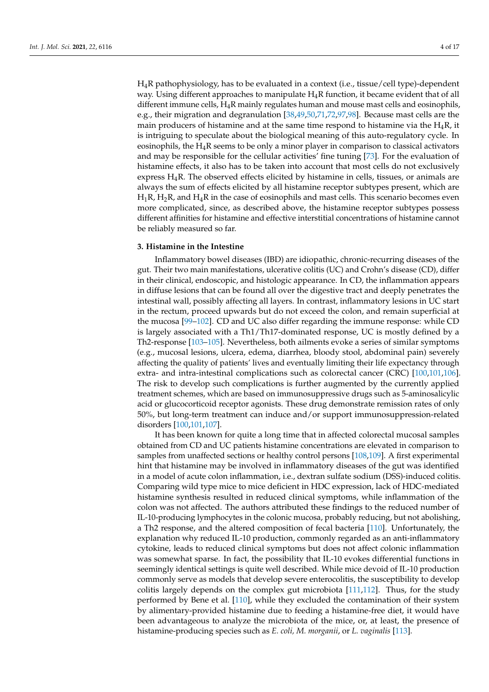H4R pathophysiology, has to be evaluated in a context (i.e., tissue/cell type)-dependent way. Using different approaches to manipulate  $H_4R$  function, it became evident that of all different immune cells,  $H_4R$  mainly regulates human and mouse mast cells and eosinophils, e.g., their migration and degranulation [38,49,50,71,72,97,98]. Because mast cells are the main producers of histamine and at the same time respond to histamine via the  $H_4R$ , it is intriguing to speculate about the biological meaning of this auto-regulatory cycle. In eosinophils, the  $H_4R$  seems to be only a minor player in comparison to classical activators and may be responsible for the cellular activities' fine tuning [73]. For the evaluation of histamine effects, it also has to be taken into account that most cells do not exclusively express  $H_4R$ . The observed effects elicited by histamine in cells, tissues, or animals are always the sum of effects elicited by all histamine receptor subtypes present, which are  $H_1R$ ,  $H_2R$ , and  $H_4R$  in the case of eosinophils and mast cells. This scenario becomes even more complicated, since, as described above, the histamine receptor subtypes possess different affinities for histamine and effective interstitial concentrations of histamine cannot be reliably measured so far.

## **3. Histamine in the Intestine**

Inflammatory bowel diseases (IBD) are idiopathic, chronic-recurring diseases of the gut. Their two main manifestations, ulcerative colitis (UC) and Crohn's disease (CD), differ in their clinical, endoscopic, and histologic appearance. In CD, the inflammation appears in diffuse lesions that can be found all over the digestive tract and deeply penetrates the intestinal wall, possibly affecting all layers. In contrast, inflammatory lesions in UC start in the rectum, proceed upwards but do not exceed the colon, and remain superficial at the mucosa [99–102]. CD and UC also differ regarding the immune response: while CD is largely associated with a Th1/Th17-dominated response, UC is mostly defined by a Th2-response [103–105]. Nevertheless, both ailments evoke a series of similar symptoms (e.g., mucosal lesions, ulcera, edema, diarrhea, bloody stool, abdominal pain) severely affecting the quality of patients' lives and eventually limiting their life expectancy through extra- and intra-intestinal complications such as colorectal cancer (CRC) [100,101,106]. The risk to develop such complications is further augmented by the currently applied treatment schemes, which are based on immunosuppressive drugs such as 5-aminosalicylic acid or glucocorticoid receptor agonists. These drug demonstrate remission rates of only 50%, but long-term treatment can induce and/or support immunosuppression-related disorders [100,101,107].

It has been known for quite a long time that in affected colorectal mucosal samples obtained from CD and UC patients histamine concentrations are elevated in comparison to samples from unaffected sections or healthy control persons [108,109]. A first experimental hint that histamine may be involved in inflammatory diseases of the gut was identified in a model of acute colon inflammation, i.e., dextran sulfate sodium (DSS)-induced colitis. Comparing wild type mice to mice deficient in HDC expression, lack of HDC-mediated histamine synthesis resulted in reduced clinical symptoms, while inflammation of the colon was not affected. The authors attributed these findings to the reduced number of IL-10-producing lymphocytes in the colonic mucosa, probably reducing, but not abolishing, a Th2 response, and the altered composition of fecal bacteria [110]. Unfortunately, the explanation why reduced IL-10 production, commonly regarded as an anti-inflammatory cytokine, leads to reduced clinical symptoms but does not affect colonic inflammation was somewhat sparse. In fact, the possibility that IL-10 evokes differential functions in seemingly identical settings is quite well described. While mice devoid of IL-10 production commonly serve as models that develop severe enterocolitis, the susceptibility to develop colitis largely depends on the complex gut microbiota [111,112]. Thus, for the study performed by Bene et al. [110], while they excluded the contamination of their system by alimentary-provided histamine due to feeding a histamine-free diet, it would have been advantageous to analyze the microbiota of the mice, or, at least, the presence of histamine-producing species such as *E. coli, M. morganii*, or *L. vaginalis* [113].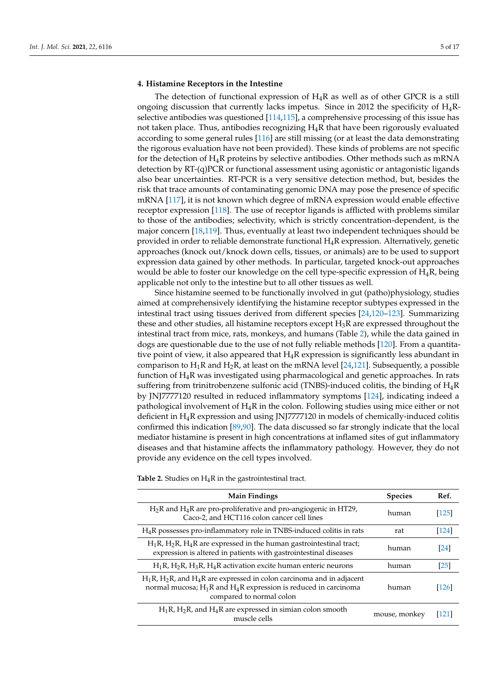# **4. Histamine Receptors in the Intestine**

The detection of functional expression of  $H_4R$  as well as of other GPCR is a still ongoing discussion that currently lacks impetus. Since in 2012 the specificity of  $H_4R$ selective antibodies was questioned [114,115], a comprehensive processing of this issue has not taken place. Thus, antibodies recognizing  $H_4R$  that have been rigorously evaluated according to some general rules [116] are still missing (or at least the data demonstrating the rigorous evaluation have not been provided). These kinds of problems are not specific for the detection of  $H_4R$  proteins by selective antibodies. Other methods such as mRNA detection by RT-(q)PCR or functional assessment using agonistic or antagonistic ligands also bear uncertainties. RT-PCR is a very sensitive detection method, but, besides the risk that trace amounts of contaminating genomic DNA may pose the presence of specific mRNA [117], it is not known which degree of mRNA expression would enable effective receptor expression [118]. The use of receptor ligands is afflicted with problems similar to those of the antibodies; selectivity, which is strictly concentration-dependent, is the major concern [18,119]. Thus, eventually at least two independent techniques should be provided in order to reliable demonstrate functional H4R expression. Alternatively, genetic approaches (knock out/knock down cells, tissues, or animals) are to be used to support expression data gained by other methods. In particular, targeted knock-out approaches would be able to foster our knowledge on the cell type-specific expression of  $H_4R$ , being applicable not only to the intestine but to all other tissues as well.

Since histamine seemed to be functionally involved in gut (patho)physiology, studies aimed at comprehensively identifying the histamine receptor subtypes expressed in the intestinal tract using tissues derived from different species [24,120–123]. Summarizing these and other studies, all histamine receptors except  $H_3R$  are expressed throughout the intestinal tract from mice, rats, monkeys, and humans (Table 2), while the data gained in dogs are questionable due to the use of not fully reliable methods [120]. From a quantitative point of view, it also appeared that  $H_4R$  expression is significantly less abundant in comparison to  $H_1R$  and  $H_2R$ , at least on the mRNA level [24,121]. Subsequently, a possible function of  $H_4R$  was investigated using pharmacological and genetic approaches. In rats suffering from trinitrobenzene sulfonic acid (TNBS)-induced colitis, the binding of  $H_4R$ by JNJ7777120 resulted in reduced inflammatory symptoms [124], indicating indeed a pathological involvement of  $H_4R$  in the colon. Following studies using mice either or not deficient in H4R expression and using JNJ7777120 in models of chemically-induced colitis confirmed this indication [89,90]. The data discussed so far strongly indicate that the local mediator histamine is present in high concentrations at inflamed sites of gut inflammatory diseases and that histamine affects the inflammatory pathology. However, they do not provide any evidence on the cell types involved.

**Table 2.** Studies on  $H_4R$  in the gastrointestinal tract.

| <b>Main Findings</b>                                                                                                                                                             | <b>Species</b> | Ref.              |
|----------------------------------------------------------------------------------------------------------------------------------------------------------------------------------|----------------|-------------------|
| $H_2R$ and $H_4R$ are pro-proliferative and pro-angiogenic in HT29,<br>Caco-2, and HCT116 colon cancer cell lines                                                                | human          | [125]             |
| $H_4R$ possesses pro-inflammatory role in TNBS-induced colitis in rats                                                                                                           | rat            | [124]             |
| $H_1R$ , $H_2R$ , $H_4R$ are expressed in the human gastrointestinal tract;<br>expression is altered in patients with gastrointestinal diseases                                  | human          | [24]              |
| $H_1R$ , $H_2R$ , $H_3R$ , $H_4R$ activation excite human enteric neurons                                                                                                        | human          | $\left[25\right]$ |
| $H_1R$ , $H_2R$ , and $H_4R$ are expressed in colon carcinoma and in adjacent<br>normal mucosa; $H_1R$ and $H_4R$ expression is reduced in carcinoma<br>compared to normal colon | human          | 126               |
| $H_1R$ , $H_2R$ , and $H_4R$ are expressed in simian colon smooth<br>muscle cells                                                                                                | mouse, monkey  | 121               |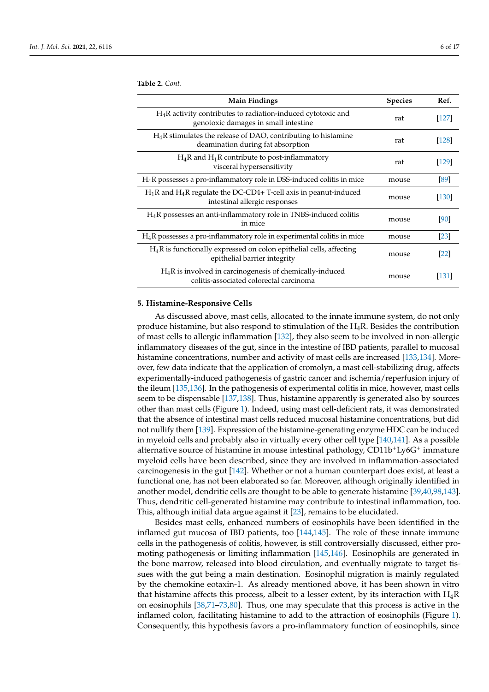**Table 2.** *Cont*.

| <b>Main Findings</b>                                                                                   | <b>Species</b> | Ref.           |
|--------------------------------------------------------------------------------------------------------|----------------|----------------|
| $H_4R$ activity contributes to radiation-induced cytotoxic and<br>genotoxic damages in small intestine | rat            | [127]          |
| $H_4R$ stimulates the release of DAO, contributing to histamine<br>deamination during fat absorption   | rat            | <sup>128</sup> |
| $H_4R$ and $H_1R$ contribute to post-inflammatory<br>visceral hypersensitivity                         | rat            | [129]          |
| $H_4R$ possesses a pro-inflammatory role in DSS-induced colitis in mice                                | mouse          | [89]           |
| $H_1R$ and $H_4R$ regulate the DC-CD4+ T-cell axis in peanut-induced<br>intestinal allergic responses  | mouse          | <b>130</b>     |
| H <sub>4</sub> R possesses an anti-inflammatory role in TNBS-induced colitis<br>in mice                | mouse          | [90]           |
| $H_4R$ possesses a pro-inflammatory role in experimental colitis in mice                               | mouse          | <b>23</b>      |
| $H_4R$ is functionally expressed on colon epithelial cells, affecting<br>epithelial barrier integrity  | mouse          | [22]           |
| $H_4R$ is involved in carcinogenesis of chemically-induced<br>colitis-associated colorectal carcinoma  | mouse          | [131]          |

#### **5. Histamine-Responsive Cells**

As discussed above, mast cells, allocated to the innate immune system, do not only produce histamine, but also respond to stimulation of the  $H_4R$ . Besides the contribution of mast cells to allergic inflammation [132], they also seem to be involved in non-allergic inflammatory diseases of the gut, since in the intestine of IBD patients, parallel to mucosal histamine concentrations, number and activity of mast cells are increased [133,134]. Moreover, few data indicate that the application of cromolyn, a mast cell-stabilizing drug, affects experimentally-induced pathogenesis of gastric cancer and ischemia/reperfusion injury of the ileum [135,136]. In the pathogenesis of experimental colitis in mice, however, mast cells seem to be dispensable [137,138]. Thus, histamine apparently is generated also by sources other than mast cells (Figure 1). Indeed, using mast cell-deficient rats, it was demonstrated that the absence of intestinal mast cells reduced mucosal histamine concentrations, but did not nullify them [139]. Expression of the histamine-generating enzyme HDC can be induced in myeloid cells and probably also in virtually every other cell type [140,141]. As a possible alternative source of histamine in mouse intestinal pathology, CD11b<sup>+</sup>Ly6G<sup>+</sup> immature myeloid cells have been described, since they are involved in inflammation-associated carcinogenesis in the gut [142]. Whether or not a human counterpart does exist, at least a functional one, has not been elaborated so far. Moreover, although originally identified in another model, dendritic cells are thought to be able to generate histamine [39,40,98,143]. Thus, dendritic cell-generated histamine may contribute to intestinal inflammation, too. This, although initial data argue against it [23], remains to be elucidated.

Besides mast cells, enhanced numbers of eosinophils have been identified in the inflamed gut mucosa of IBD patients, too [144,145]. The role of these innate immune cells in the pathogenesis of colitis, however, is still controversially discussed, either promoting pathogenesis or limiting inflammation [145,146]. Eosinophils are generated in the bone marrow, released into blood circulation, and eventually migrate to target tissues with the gut being a main destination. Eosinophil migration is mainly regulated by the chemokine eotaxin-1. As already mentioned above, it has been shown in vitro that histamine affects this process, albeit to a lesser extent, by its interaction with  $H_4R$ on eosinophils [38,71–73,80]. Thus, one may speculate that this process is active in the inflamed colon, facilitating histamine to add to the attraction of eosinophils (Figure 1). Consequently, this hypothesis favors a pro-inflammatory function of eosinophils, since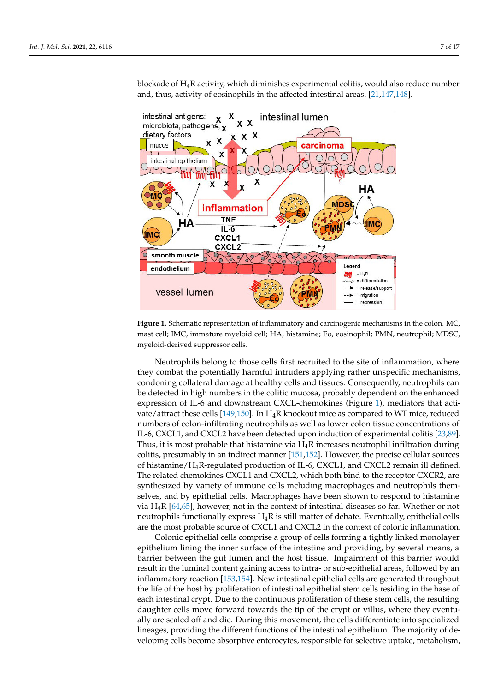blockade of  $H_4R$  activity, which diminishes experimental colitis, would also reduce number and, thus, activity of eosinophils in the affected intestinal areas. [21,147,148].



**Figure 1.** Schematic representation of inflammatory and carcinogenic mechanisms in the colon. MC, mast cell; IMC, immature myeloid cell; HA, histamine; Eo, eosinophil; PMN, neutrophil; MDSC, myeloid-derived suppressor cells.

Neutrophils belong to those cells first recruited to the site of inflammation, where they combat the potentially harmful intruders applying rather unspecific mechanisms, condoning collateral damage at healthy cells and tissues. Consequently, neutrophils can be detected in high numbers in the colitic mucosa, probably dependent on the enhanced expression of IL-6 and downstream CXCL-chemokines (Figure 1), mediators that activate/attract these cells [149,150]. In  $H_4R$  knockout mice as compared to WT mice, reduced numbers of colon-infiltrating neutrophils as well as lower colon tissue concentrations of IL-6, CXCL1, and CXCL2 have been detected upon induction of experimental colitis [23,89]. Thus, it is most probable that histamine via  $H_4R$  increases neutrophil infiltration during colitis, presumably in an indirect manner [151,152]. However, the precise cellular sources of histamine/H4R-regulated production of IL-6, CXCL1, and CXCL2 remain ill defined. The related chemokines CXCL1 and CXCL2, which both bind to the receptor CXCR2, are synthesized by variety of immune cells including macrophages and neutrophils themselves, and by epithelial cells. Macrophages have been shown to respond to histamine via  $H_4R$  [64,65], however, not in the context of intestinal diseases so far. Whether or not neutrophils functionally express  $H_4R$  is still matter of debate. Eventually, epithelial cells are the most probable source of CXCL1 and CXCL2 in the context of colonic inflammation.

Colonic epithelial cells comprise a group of cells forming a tightly linked monolayer epithelium lining the inner surface of the intestine and providing, by several means, a barrier between the gut lumen and the host tissue. Impairment of this barrier would result in the luminal content gaining access to intra- or sub-epithelial areas, followed by an inflammatory reaction [153,154]. New intestinal epithelial cells are generated throughout the life of the host by proliferation of intestinal epithelial stem cells residing in the base of each intestinal crypt. Due to the continuous proliferation of these stem cells, the resulting daughter cells move forward towards the tip of the crypt or villus, where they eventually are scaled off and die. During this movement, the cells differentiate into specialized lineages, providing the different functions of the intestinal epithelium. The majority of developing cells become absorptive enterocytes, responsible for selective uptake, metabolism,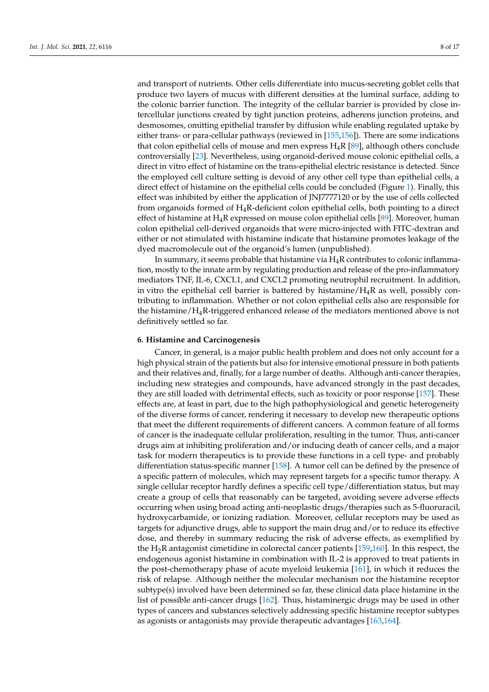and transport of nutrients. Other cells differentiate into mucus-secreting goblet cells that produce two layers of mucus with different densities at the luminal surface, adding to the colonic barrier function. The integrity of the cellular barrier is provided by close intercellular junctions created by tight junction proteins, adherens junction proteins, and desmosomes, omitting epithelial transfer by diffusion while enabling regulated uptake by either trans- or para-cellular pathways (reviewed in [155,156]). There are some indications that colon epithelial cells of mouse and men express  $H_4R$  [89], although others conclude controversially [23]. Nevertheless, using organoid-derived mouse colonic epithelial cells, a direct in vitro effect of histamine on the trans-epithelial electric resistance is detected. Since the employed cell culture setting is devoid of any other cell type than epithelial cells, a direct effect of histamine on the epithelial cells could be concluded (Figure 1). Finally, this effect was inhibited by either the application of JNJ7777120 or by the use of cells collected from organoids formed of H4R-deficient colon epithelial cells, both pointing to a direct effect of histamine at  $H_4R$  expressed on mouse colon epithelial cells [89]. Moreover, human colon epithelial cell-derived organoids that were micro-injected with FITC-dextran and either or not stimulated with histamine indicate that histamine promotes leakage of the dyed macromolecule out of the organoid's lumen (unpublished).

In summary, it seems probable that histamine via  $H_4R$  contributes to colonic inflammation, mostly to the innate arm by regulating production and release of the pro-inflammatory mediators TNF, IL-6, CXCL1, and CXCL2 promoting neutrophil recruitment. In addition, in vitro the epithelial cell barrier is battered by histamine/ $H_4R$  as well, possibly contributing to inflammation. Whether or not colon epithelial cells also are responsible for the histamine/H4R-triggered enhanced release of the mediators mentioned above is not definitively settled so far.

### **6. Histamine and Carcinogenesis**

Cancer, in general, is a major public health problem and does not only account for a high physical strain of the patients but also for intensive emotional pressure in both patients and their relatives and, finally, for a large number of deaths. Although anti-cancer therapies, including new strategies and compounds, have advanced strongly in the past decades, they are still loaded with detrimental effects, such as toxicity or poor response [157]. These effects are, at least in part, due to the high pathophysiological and genetic heterogeneity of the diverse forms of cancer, rendering it necessary to develop new therapeutic options that meet the different requirements of different cancers. A common feature of all forms of cancer is the inadequate cellular proliferation, resulting in the tumor. Thus, anti-cancer drugs aim at inhibiting proliferation and/or inducing death of cancer cells, and a major task for modern therapeutics is to provide these functions in a cell type- and probably differentiation status-specific manner [158]. A tumor cell can be defined by the presence of a specific pattern of molecules, which may represent targets for a specific tumor therapy. A single cellular receptor hardly defines a specific cell type/differentiation status, but may create a group of cells that reasonably can be targeted, avoiding severe adverse effects occurring when using broad acting anti-neoplastic drugs/therapies such as 5-fluoruracil, hydroxycarbamide, or ionizing radiation. Moreover, cellular receptors may be used as targets for adjunctive drugs, able to support the main drug and/or to reduce its effective dose, and thereby in summary reducing the risk of adverse effects, as exemplified by the  $H_2R$  antagonist cimetidine in colorectal cancer patients [159,160]. In this respect, the endogenous agonist histamine in combination with IL-2 is approved to treat patients in the post-chemotherapy phase of acute myeloid leukemia [161], in which it reduces the risk of relapse. Although neither the molecular mechanism nor the histamine receptor subtype(s) involved have been determined so far, these clinical data place histamine in the list of possible anti-cancer drugs [162]. Thus, histaminergic drugs may be used in other types of cancers and substances selectively addressing specific histamine receptor subtypes as agonists or antagonists may provide therapeutic advantages [163,164].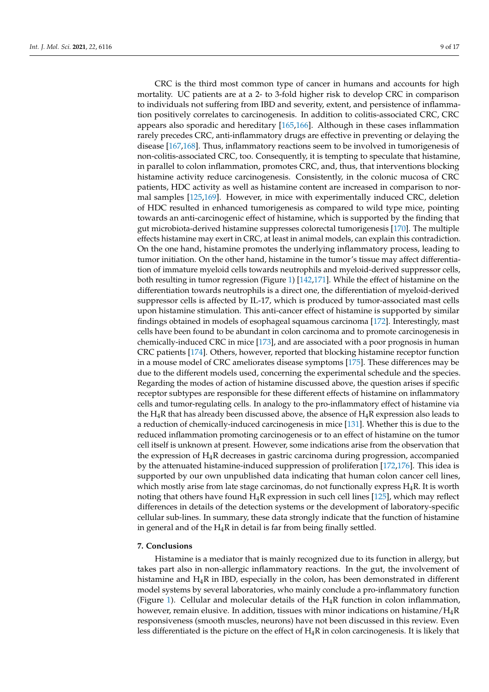CRC is the third most common type of cancer in humans and accounts for high mortality. UC patients are at a 2- to 3-fold higher risk to develop CRC in comparison to individuals not suffering from IBD and severity, extent, and persistence of inflammation positively correlates to carcinogenesis. In addition to colitis-associated CRC, CRC appears also sporadic and hereditary [165,166]. Although in these cases inflammation rarely precedes CRC, anti-inflammatory drugs are effective in preventing or delaying the disease [167,168]. Thus, inflammatory reactions seem to be involved in tumorigenesis of non-colitis-associated CRC, too. Consequently, it is tempting to speculate that histamine, in parallel to colon inflammation, promotes CRC, and, thus, that interventions blocking histamine activity reduce carcinogenesis. Consistently, in the colonic mucosa of CRC patients, HDC activity as well as histamine content are increased in comparison to normal samples [125,169]. However, in mice with experimentally induced CRC, deletion of HDC resulted in enhanced tumorigenesis as compared to wild type mice, pointing towards an anti-carcinogenic effect of histamine, which is supported by the finding that gut microbiota-derived histamine suppresses colorectal tumorigenesis [170]. The multiple effects histamine may exert in CRC, at least in animal models, can explain this contradiction. On the one hand, histamine promotes the underlying inflammatory process, leading to tumor initiation. On the other hand, histamine in the tumor's tissue may affect differentiation of immature myeloid cells towards neutrophils and myeloid-derived suppressor cells, both resulting in tumor regression (Figure 1) [142,171]. While the effect of histamine on the differentiation towards neutrophils is a direct one, the differentiation of myeloid-derived suppressor cells is affected by IL-17, which is produced by tumor-associated mast cells upon histamine stimulation. This anti-cancer effect of histamine is supported by similar findings obtained in models of esophageal squamous carcinoma [172]. Interestingly, mast cells have been found to be abundant in colon carcinoma and to promote carcinogenesis in chemically-induced CRC in mice [173], and are associated with a poor prognosis in human CRC patients [174]. Others, however, reported that blocking histamine receptor function in a mouse model of CRC ameliorates disease symptoms [175]. These differences may be due to the different models used, concerning the experimental schedule and the species. Regarding the modes of action of histamine discussed above, the question arises if specific receptor subtypes are responsible for these different effects of histamine on inflammatory cells and tumor-regulating cells. In analogy to the pro-inflammatory effect of histamine via the  $H_4R$  that has already been discussed above, the absence of  $H_4R$  expression also leads to a reduction of chemically-induced carcinogenesis in mice [131]. Whether this is due to the reduced inflammation promoting carcinogenesis or to an effect of histamine on the tumor cell itself is unknown at present. However, some indications arise from the observation that the expression of  $H_4R$  decreases in gastric carcinoma during progression, accompanied by the attenuated histamine-induced suppression of proliferation [172,176]. This idea is supported by our own unpublished data indicating that human colon cancer cell lines, which mostly arise from late stage carcinomas, do not functionally express  $H_4R$ . It is worth noting that others have found  $H_4R$  expression in such cell lines [125], which may reflect differences in details of the detection systems or the development of laboratory-specific cellular sub-lines. In summary, these data strongly indicate that the function of histamine in general and of the  $H_4R$  in detail is far from being finally settled.

### **7. Conclusions**

Histamine is a mediator that is mainly recognized due to its function in allergy, but takes part also in non-allergic inflammatory reactions. In the gut, the involvement of histamine and H4R in IBD, especially in the colon, has been demonstrated in different model systems by several laboratories, who mainly conclude a pro-inflammatory function (Figure 1). Cellular and molecular details of the  $H_4R$  function in colon inflammation, however, remain elusive. In addition, tissues with minor indications on histamine/ $H_4R$ responsiveness (smooth muscles, neurons) have not been discussed in this review. Even less differentiated is the picture on the effect of  $H_4R$  in colon carcinogenesis. It is likely that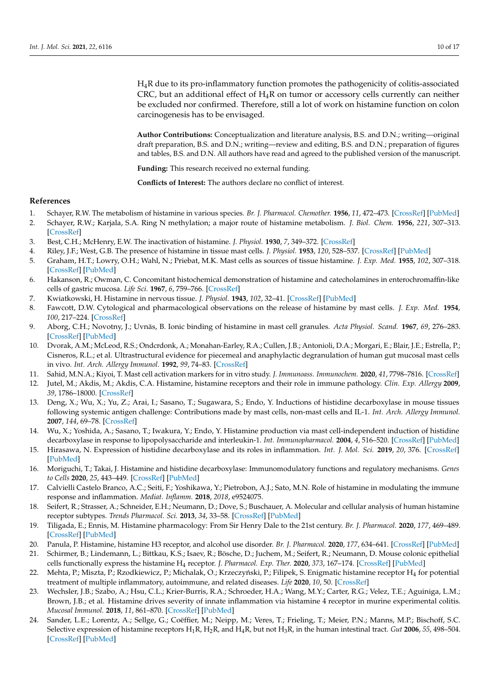H4R due to its pro-inflammatory function promotes the pathogenicity of colitis-associated CRC, but an additional effect of  $H_4R$  on tumor or accessory cells currently can neither be excluded nor confirmed. Therefore, still a lot of work on histamine function on colon carcinogenesis has to be envisaged.

**Author Contributions:** Conceptualization and literature analysis, B.S. and D.N.; writing—original draft preparation, B.S. and D.N.; writing—review and editing, B.S. and D.N.; preparation of figures and tables, B.S. and D.N. All authors have read and agreed to the published version of the manuscript.

**Funding:** This research received no external funding.

**Conflicts of Interest:** The authors declare no conflict of interest.

## **References**

- 1. Schayer, R.W. The metabolism of histamine in various species. *Br. J. Pharmacol. Chemother.* **1956**, *11*, 472–473. [CrossRef] [PubMed]
- 2. Schayer, R.W.; Karjala, S.A. Ring N methylation; a major route of histamine metabolism. *J. Biol. Chem.* **1956**, *221*, 307–313. [CrossRef]
- 3. Best, C.H.; McHenry, E.W. The inactivation of histamine. *J. Physiol.* **1930**, *7*, 349–372. [CrossRef]
- 4. Riley, J.F.; West, G.B. The presence of histamine in tissue mast cells. *J. Physiol.* **1953**, *120*, 528–537. [CrossRef] [PubMed]
- 5. Graham, H.T.; Lowry, O.H.; Wahl, N.; Priebat, M.K. Mast cells as sources of tissue histamine. *J. Exp. Med.* **1955**, *102*, 307–318. [CrossRef] [PubMed]
- 6. Hakanson, R.; Owman, C. Concomitant histochemical demonstration of histamine and catecholamines in enterochromaffin-like cells of gastric mucosa. *Life Sci.* **1967**, *6*, 759–766. [CrossRef]
- 7. Kwiatkowski, H. Histamine in nervous tissue. *J. Physiol.* **1943**, *102*, 32–41. [CrossRef] [PubMed]
- 8. Fawcott, D.W. Cytological and pharmacological observations on the release of histamine by mast cells. *J. Exp. Med.* **1954**, *100*, 217–224. [CrossRef]
- 9. Aborg, C.H.; Novotny, J.; Uvnäs, B. Ionic binding of histamine in mast cell granules. *Acta Physiol. Scand.* **1967**, *69*, 276–283. [CrossRef] [PubMed]
- 10. Dvorak, A.M.; McLeod, R.S.; Ondcrdonk, A.; Monahan-Earley, R.A.; Cullen, J.B.; Antonioli, D.A.; Morgari, E.; Blair, J.E.; Estrella, P.; Cisneros, R.L.; et al. Ultrastructural evidence for piecemeal and anaphylactic degranulation of human gut mucosal mast cells in vivo. *Int. Arch. Allergy Immunol.* **1992**, *99*, 74–83. [CrossRef]
- 11. Sahid, M.N.A.; Kiyoi, T. Mast cell activation markers for in vitro study. *J. Immunoass. Immunochem.* **2020**, *41*, 7798–7816. [CrossRef]
- 12. Jutel, M.; Akdis, M.; Akdis, C.A. Histamine, histamine receptors and their role in immune pathology. *Clin. Exp. Allergy* **2009**, *39*, 1786–18000. [CrossRef]
- 13. Deng, X.; Wu, X.; Yu, Z.; Arai, I.; Sasano, T.; Sugawara, S.; Endo, Y. Inductions of histidine decarboxylase in mouse tissues following systemic antigen challenge: Contributions made by mast cells, non-mast cells and IL-1. *Int. Arch. Allergy Immunol.* **2007**, *144*, 69–78. [CrossRef]
- 14. Wu, X.; Yoshida, A.; Sasano, T.; Iwakura, Y.; Endo, Y. Histamine production via mast cell-independent induction of histidine decarboxylase in response to lipopolysaccharide and interleukin-1. *Int. Immunopharmacol.* **2004**, *4*, 516–520. [CrossRef] [PubMed]
- 15. Hirasawa, N. Expression of histidine decarboxylase and its roles in inflammation. *Int. J. Mol. Sci.* **2019**, *20*, 376. [CrossRef] [PubMed]
- 16. Moriguchi, T.; Takai, J. Histamine and histidine decarboxylase: Immunomodulatory functions and regulatory mechanisms. *Genes to Cells* **2020**, *25*, 443–449. [CrossRef] [PubMed]
- 17. Calvielli Castelo Branco, A.C.; Seiti, F.; Yoshikawa, Y.; Pietrobon, A.J.; Sato, M.N. Role of histamine in modulating the immune response and inflammation. *Mediat. Inflamm.* **2018**, *2018*, e9524075.
- 18. Seifert, R.; Strasser, A.; Schneider, E.H.; Neumann, D.; Dove, S.; Buschauer, A. Molecular and cellular analysis of human histamine receptor subtypes. *Trends Pharmacol. Sci.* **2013**, *34*, 33–58. [CrossRef] [PubMed]
- 19. Tiligada, E.; Ennis, M. Histamine pharmacology: From Sir Henry Dale to the 21st century. *Br. J. Pharmacol.* **2020**, *177*, 469–489. [CrossRef] [PubMed]
- 20. Panula, P. Histamine, histamine H3 receptor, and alcohol use disorder. *Br. J. Pharmacol.* **2020**, *177*, 634–641. [CrossRef] [PubMed]
- 21. Schirmer, B.; Lindemann, L.; Bittkau, K.S.; Isaev, R.; Bösche, D.; Juchem, M.; Seifert, R.; Neumann, D. Mouse colonic epithelial cells functionally express the histamine H<sup>4</sup> receptor. *J. Pharmacol. Exp. Ther.* **2020**, *373*, 167–174. [CrossRef] [PubMed]
- 22. Mehta, P.; Miszta, P.; Rzodkiewicz, P.; Michalak, O.; Krzeczyński, P.; Filipek, S. Enigmatic histamine receptor H $_4$  for potential treatment of multiple inflammatory, autoimmune, and related diseases. *Life* **2020**, *10*, 50. [CrossRef]
- 23. Wechsler, J.B.; Szabo, A.; Hsu, C.L.; Krier-Burris, R.A.; Schroeder, H.A.; Wang, M.Y.; Carter, R.G.; Velez, T.E.; Aguiniga, L.M.; Brown, J.B.; et al. Histamine drives severity of innate inflammation via histamine 4 receptor in murine experimental colitis. *Mucosal Immunol.* **2018**, *11*, 861–870. [CrossRef] [PubMed]
- 24. Sander, L.E.; Lorentz, A.; Sellge, G.; Coëffier, M.; Neipp, M.; Veres, T.; Frieling, T.; Meier, P.N.; Manns, M.P.; Bischoff, S.C. Selective expression of histamine receptors  $H_1R$ ,  $H_2R$ , and  $H_4R$ , but not  $H_3R$ , in the human intestinal tract. *Gut* 2006, 55, 498–504. [CrossRef] [PubMed]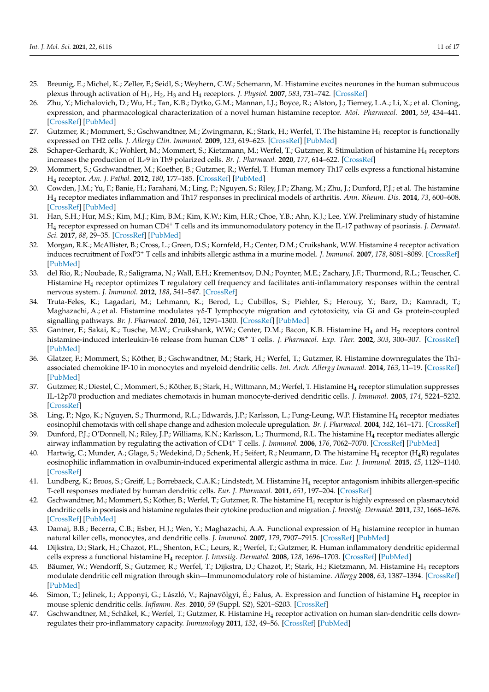- 25. Breunig, E.; Michel, K.; Zeller, F.; Seidl, S.; Weyhern, C.W.; Schemann, M. Histamine excites neurones in the human submucous plexus through activation of  $H_1$ ,  $H_2$ ,  $H_3$  and  $H_4$  receptors. *J. Physiol.* **2007**, 583, 731–742. [CrossRef]
- 26. Zhu, Y.; Michalovich, D.; Wu, H.; Tan, K.B.; Dytko, G.M.; Mannan, I.J.; Boyce, R.; Alston, J.; Tierney, L.A.; Li, X.; et al. Cloning, expression, and pharmacological characterization of a novel human histamine receptor. *Mol. Pharmacol.* **2001**, *59*, 434–441. [CrossRef] [PubMed]
- 27. Gutzmer, R.; Mommert, S.; Gschwandtner, M.; Zwingmann, K.; Stark, H.; Werfel, T. The histamine H<sub>4</sub> receptor is functionally expressed on TH2 cells. *J. Allergy Clin. Immunol.* **2009**, *123*, 619–625. [CrossRef] [PubMed]
- 28. Schaper-Gerhardt, K.; Wohlert, M.; Mommert, S.; Kietzmann, M.; Werfel, T.; Gutzmer, R. Stimulation of histamine H<sub>4</sub> receptors increases the production of IL-9 in Th9 polarized cells. *Br. J. Pharmacol.* **2020**, *177*, 614–622. [CrossRef]
- 29. Mommert, S.; Gschwandtner, M.; Koether, B.; Gutzmer, R.; Werfel, T. Human memory Th17 cells express a functional histamine H<sup>4</sup> receptor. *Am. J. Pathol.* **2012**, *180*, 177–185. [CrossRef] [PubMed]
- 30. Cowden, J.M.; Yu, F.; Banie, H.; Farahani, M.; Ling, P.; Nguyen, S.; Riley, J.P.; Zhang, M.; Zhu, J.; Dunford, P.J.; et al. The histamine H<sup>4</sup> receptor mediates inflammation and Th17 responses in preclinical models of arthritis. *Ann. Rheum. Dis.* **2014**, *73*, 600–608. [CrossRef] [PubMed]
- 31. Han, S.H.; Hur, M.S.; Kim, M.J.; Kim, B.M.; Kim, K.W.; Kim, H.R.; Choe, Y.B.; Ahn, K.J.; Lee, Y.W. Preliminary study of histamine H<sup>4</sup> receptor expressed on human CD4<sup>+</sup> T cells and its immunomodulatory potency in the IL-17 pathway of psoriasis. *J. Dermatol. Sci.* **2017**, *88*, 29–35. [CrossRef] [PubMed]
- 32. Morgan, R.K.; McAllister, B.; Cross, L.; Green, D.S.; Kornfeld, H.; Center, D.M.; Cruikshank, W.W. Histamine 4 receptor activation induces recruitment of FoxP3<sup>+</sup> T cells and inhibits allergic asthma in a murine model. *J. Immunol.* **2007**, *178*, 8081–8089. [CrossRef] [PubMed]
- 33. del Rio, R.; Noubade, R.; Saligrama, N.; Wall, E.H.; Krementsov, D.N.; Poynter, M.E.; Zachary, J.F.; Thurmond, R.L.; Teuscher, C. Histamine H<sup>4</sup> receptor optimizes T regulatory cell frequency and facilitates anti-inflammatory responses within the central nervous system. *J. Immunol.* **2012**, *188*, 541–547. [CrossRef]
- 34. Truta-Feles, K.; Lagadari, M.; Lehmann, K.; Berod, L.; Cubillos, S.; Piehler, S.; Herouy, Y.; Barz, D.; Kamradt, T.; Maghazachi, A.; et al. Histamine modulates γδ-T lymphocyte migration and cytotoxicity, via Gi and Gs protein-coupled signalling pathways. *Br. J. Pharmacol.* **2010**, *161*, 1291–1300. [CrossRef] [PubMed]
- 35. Gantner, F.; Sakai, K.; Tusche, M.W.; Cruikshank, W.W.; Center, D.M.; Bacon, K.B. Histamine H<sub>4</sub> and H<sub>2</sub> receptors control histamine-induced interleukin-16 release from human CD8<sup>+</sup> T cells. *J. Pharmacol. Exp. Ther.* **2002**, *303*, 300–307. [CrossRef] [PubMed]
- 36. Glatzer, F.; Mommert, S.; Köther, B.; Gschwandtner, M.; Stark, H.; Werfel, T.; Gutzmer, R. Histamine downregulates the Th1 associated chemokine IP-10 in monocytes and myeloid dendritic cells. *Int. Arch. Allergy Immunol.* **2014**, *163*, 11–19. [CrossRef] [PubMed]
- 37. Gutzmer, R.; Diestel, C.; Mommert, S.; Köther, B.; Stark, H.; Wittmann, M.; Werfel, T. Histamine H<sup>4</sup> receptor stimulation suppresses IL-12p70 production and mediates chemotaxis in human monocyte-derived dendritic cells. *J. Immunol.* **2005**, *174*, 5224–5232. [CrossRef]
- 38. Ling, P.; Ngo, K.; Nguyen, S.; Thurmond, R.L.; Edwards, J.P.; Karlsson, L.; Fung-Leung, W.P. Histamine H<sup>4</sup> receptor mediates eosinophil chemotaxis with cell shape change and adhesion molecule upregulation. *Br. J. Pharmacol.* **2004**, *142*, 161–171. [CrossRef]
- 39. Dunford, P.J.; O'Donnell, N.; Riley, J.P.; Williams, K.N.; Karlsson, L.; Thurmond, R.L. The histamine H<sup>4</sup> receptor mediates allergic airway inflammation by regulating the activation of CD4<sup>+</sup> T cells. *J. Immunol.* **2006**, *176*, 7062–7070. [CrossRef] [PubMed]
- 40. Hartwig, C.; Munder, A.; Glage, S.; Wedekind, D.; Schenk, H.; Seifert, R.; Neumann, D. The histamine H<sub>4</sub> receptor (H<sub>4</sub>R) regulates eosinophilic inflammation in ovalbumin-induced experimental allergic asthma in mice. *Eur. J. Immunol.* **2015**, *45*, 1129–1140. [CrossRef]
- 41. Lundberg, K.; Broos, S.; Greiff, L.; Borrebaeck, C.A.K.; Lindstedt, M. Histamine H<sup>4</sup> receptor antagonism inhibits allergen-specific T-cell responses mediated by human dendritic cells. *Eur. J. Pharmacol.* **2011**, *651*, 197–204. [CrossRef]
- 42. Gschwandtner, M.; Mommert, S.; Köther, B.; Werfel, T.; Gutzmer, R. The histamine H<sub>4</sub> receptor is highly expressed on plasmacytoid dendritic cells in psoriasis and histamine regulates their cytokine production and migration. *J. Investig. Dermatol.* **2011**, *131*, 1668–1676. [CrossRef] [PubMed]
- 43. Damaj, B.B.; Becerra, C.B.; Esber, H.J.; Wen, Y.; Maghazachi, A.A. Functional expression of H<sup>4</sup> histamine receptor in human natural killer cells, monocytes, and dendritic cells. *J. Immunol.* **2007**, *179*, 7907–7915. [CrossRef] [PubMed]
- 44. Dijkstra, D.; Stark, H.; Chazot, P.L.; Shenton, F.C.; Leurs, R.; Werfel, T.; Gutzmer, R. Human inflammatory dendritic epidermal cells express a functional histamine H<sup>4</sup> receptor. *J. Investig. Dermatol.* **2008**, *128*, 1696–1703. [CrossRef] [PubMed]
- 45. Bäumer, W.; Wendorff, S.; Gutzmer, R.; Werfel, T.; Dijkstra, D.; Chazot, P.; Stark, H.; Kietzmann, M. Histamine H<sup>4</sup> receptors modulate dendritic cell migration through skin—Immunomodulatory role of histamine. *Allergy* **2008**, *63*, 1387–1394. [CrossRef] [PubMed]
- 46. Simon, T.; Jelinek, I.; Apponyi, G.; László, V.; Rajnavölgyi, É.; Falus, A. Expression and function of histamine H<sub>4</sub> receptor in mouse splenic dendritic cells. *Inflamm. Res.* **2010**, *59* (Suppl. S2), S201–S203. [CrossRef]
- 47. Gschwandtner, M.; Schäkel, K.; Werfel, T.; Gutzmer, R. Histamine H<sup>4</sup> receptor activation on human slan-dendritic cells downregulates their pro-inflammatory capacity. *Immunology* **2011**, *132*, 49–56. [CrossRef] [PubMed]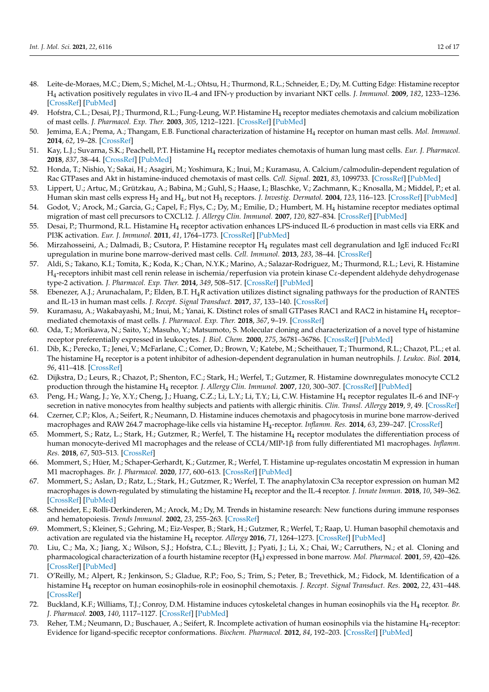- 48. Leite-de-Moraes, M.C.; Diem, S.; Michel, M.-L.; Ohtsu, H.; Thurmond, R.L.; Schneider, E.; Dy, M. Cutting Edge: Histamine receptor H<sup>4</sup> activation positively regulates in vivo IL-4 and IFN-γ production by invariant NKT cells. *J. Immunol.* **2009**, *182*, 1233–1236. [CrossRef] [PubMed]
- 49. Hofstra, C.L.; Desai, P.J.; Thurmond, R.L.; Fung-Leung, W.P. Histamine H<sup>4</sup> receptor mediates chemotaxis and calcium mobilization of mast cells. *J. Pharmacol. Exp. Ther.* **2003**, *305*, 1212–1221. [CrossRef] [PubMed]
- 50. Jemima, E.A.; Prema, A.; Thangam, E.B. Functional characterization of histamine H<sup>4</sup> receptor on human mast cells. *Mol. Immunol.* **2014**, *62*, 19–28. [CrossRef]
- 51. Kay, L.J.; Suvarna, S.K.; Peachell, P.T. Histamine H<sup>4</sup> receptor mediates chemotaxis of human lung mast cells. *Eur. J. Pharmacol.* **2018**, *837*, 38–44. [CrossRef] [PubMed]
- 52. Honda, T.; Nishio, Y.; Sakai, H.; Asagiri, M.; Yoshimura, K.; Inui, M.; Kuramasu, A. Calcium/calmodulin-dependent regulation of Rac GTPases and Akt in histamine-induced chemotaxis of mast cells. *Cell. Signal.* **2021**, *83*, 1099733. [CrossRef] [PubMed]
- 53. Lippert, U.; Artuc, M.; Grützkau, A.; Babina, M.; Guhl, S.; Haase, I.; Blaschke, V.; Zachmann, K.; Knosalla, M.; Middel, P.; et al. Human skin mast cells express H<sup>2</sup> and H<sup>4</sup> , but not H<sup>3</sup> receptors. *J. Investig. Dermatol.* **2004**, *123*, 116–123. [CrossRef] [PubMed]
- 54. Godot, V.; Arock, M.; Garcia, G.; Capel, F.; Flys, C.; Dy, M.; Emilie, D.; Humbert, M. H<sup>4</sup> histamine receptor mediates optimal migration of mast cell precursors to CXCL12. *J. Allergy Clin. Immunol.* **2007**, *120*, 827–834. [CrossRef] [PubMed]
- 55. Desai, P.; Thurmond, R.L. Histamine H<sub>4</sub> receptor activation enhances LPS-induced IL-6 production in mast cells via ERK and PI3K activation. *Eur. J. Immunol.* **2011**, *41*, 1764–1773. [CrossRef] [PubMed]
- 56. Mirzahosseini, A.; Dalmadi, B.; Csutora, P. Histamine receptor H<sup>4</sup> regulates mast cell degranulation and IgE induced FcεRI upregulation in murine bone marrow-derived mast cells. *Cell. Immunol.* **2013**, *283*, 38–44. [CrossRef]
- 57. Aldi, S.; Takano, K.I.; Tomita, K.; Koda, K.; Chan, N.Y.K.; Marino, A.; Salazar-Rodriguez, M.; Thurmond, R.L.; Levi, R. Histamine H<sup>4</sup> -receptors inhibit mast cell renin release in ischemia/reperfusion via protein kinase Cε-dependent aldehyde dehydrogenase type-2 activation. *J. Pharmacol. Exp. Ther.* **2014**, *349*, 508–517. [CrossRef] [PubMed]
- 58. Ebenezer, A.J.; Arunachalam, P.; Elden, B.T. H4R activation utilizes distinct signaling pathways for the production of RANTES and IL-13 in human mast cells. *J. Recept. Signal Transduct.* **2017**, *37*, 133–140. [CrossRef]
- 59. Kuramasu, A.; Wakabayashi, M.; Inui, M.; Yanai, K. Distinct roles of small GTPases RAC1 and RAC2 in histamine H<sub>4</sub> receptor– mediated chemotaxis of mast cells. *J. Pharmacol. Exp. Ther.* **2018**, *367*, 9–19. [CrossRef]
- 60. Oda, T.; Morikawa, N.; Saito, Y.; Masuho, Y.; Matsumoto, S. Molecular cloning and characterization of a novel type of histamine receptor preferentially expressed in leukocytes. *J. Biol. Chem.* **2000**, *275*, 36781–36786. [CrossRef] [PubMed]
- 61. Dib, K.; Perecko, T.; Jenei, V.; McFarlane, C.; Comer, D.; Brown, V.; Katebe, M.; Scheithauer, T.; Thurmond, R.L.; Chazot, P.L.; et al. The histamine H<sup>4</sup> receptor is a potent inhibitor of adhesion-dependent degranulation in human neutrophils. *J. Leukoc. Biol.* **2014**, *96*, 411–418. [CrossRef]
- 62. Dijkstra, D.; Leurs, R.; Chazot, P.; Shenton, F.C.; Stark, H.; Werfel, T.; Gutzmer, R. Histamine downregulates monocyte CCL2 production through the histamine H<sup>4</sup> receptor. *J. Allergy Clin. Immunol.* **2007**, *120*, 300–307. [CrossRef] [PubMed]
- 63. Peng, H.; Wang, J.; Ye, X.Y.; Cheng, J.; Huang, C.Z.; Li, L.Y.; Li, T.Y.; Li, C.W. Histamine H<sup>4</sup> receptor regulates IL-6 and INF-γ secretion in native monocytes from healthy subjects and patients with allergic rhinitis. *Clin. Transl. Allergy* **2019**, *9*, 49. [CrossRef]
- 64. Czerner, C.P.; Klos, A.; Seifert, R.; Neumann, D. Histamine induces chemotaxis and phagocytosis in murine bone marrow-derived macrophages and RAW 264.7 macrophage-like cells via histamine H<sup>4</sup> -receptor. *Inflamm. Res.* **2014**, *63*, 239–247. [CrossRef]
- 65. Mommert, S.; Ratz, L.; Stark, H.; Gutzmer, R.; Werfel, T. The histamine H<sub>4</sub> receptor modulates the differentiation process of human monocyte-derived M1 macrophages and the release of CCL4/MIP-1β from fully differentiated M1 macrophages. *Inflamm. Res.* **2018**, *67*, 503–513. [CrossRef]
- 66. Mommert, S.; Hüer, M.; Schaper-Gerhardt, K.; Gutzmer, R.; Werfel, T. Histamine up-regulates oncostatin M expression in human M1 macrophages. *Br. J. Pharmacol.* **2020**, *177*, 600–613. [CrossRef] [PubMed]
- 67. Mommert, S.; Aslan, D.; Ratz, L.; Stark, H.; Gutzmer, R.; Werfel, T. The anaphylatoxin C3a receptor expression on human M2 macrophages is down-regulated by stimulating the histamine H<sup>4</sup> receptor and the IL-4 receptor. *J. Innate Immun.* **2018**, *10*, 349–362. [CrossRef] [PubMed]
- 68. Schneider, E.; Rolli-Derkinderen, M.; Arock, M.; Dy, M. Trends in histamine research: New functions during immune responses and hematopoiesis. *Trends Immunol.* **2002**, *23*, 255–263. [CrossRef]
- 69. Mommert, S.; Kleiner, S.; Gehring, M.; Eiz-Vesper, B.; Stark, H.; Gutzmer, R.; Werfel, T.; Raap, U. Human basophil chemotaxis and activation are regulated via the histamine H<sup>4</sup> receptor. *Allergy* **2016**, *71*, 1264–1273. [CrossRef] [PubMed]
- 70. Liu, C.; Ma, X.; Jiang, X.; Wilson, S.J.; Hofstra, C.L.; Blevitt, J.; Pyati, J.; Li, X.; Chai, W.; Carruthers, N.; et al. Cloning and pharmacological characterization of a fourth histamine receptor (H<sup>4</sup> ) expressed in bone marrow. *Mol. Pharmacol.* **2001**, *59*, 420–426. [CrossRef] [PubMed]
- 71. O'Reilly, M.; Alpert, R.; Jenkinson, S.; Gladue, R.P.; Foo, S.; Trim, S.; Peter, B.; Trevethick, M.; Fidock, M. Identification of a histamine H<sup>4</sup> receptor on human eosinophils-role in eosinophil chemotaxis. *J. Recept. Signal Transduct. Res.* **2002**, *22*, 431–448. [CrossRef]
- 72. Buckland, K.F.; Williams, T.J.; Conroy, D.M. Histamine induces cytoskeletal changes in human eosinophils via the H<sup>4</sup> receptor. *Br. J. Pharmacol.* **2003**, *140*, 1117–1127. [CrossRef] [PubMed]
- 73. Reher, T.M.; Neumann, D.; Buschauer, A.; Seifert, R. Incomplete activation of human eosinophils via the histamine H<sup>4</sup> -receptor: Evidence for ligand-specific receptor conformations. *Biochem. Pharmacol.* **2012**, *84*, 192–203. [CrossRef] [PubMed]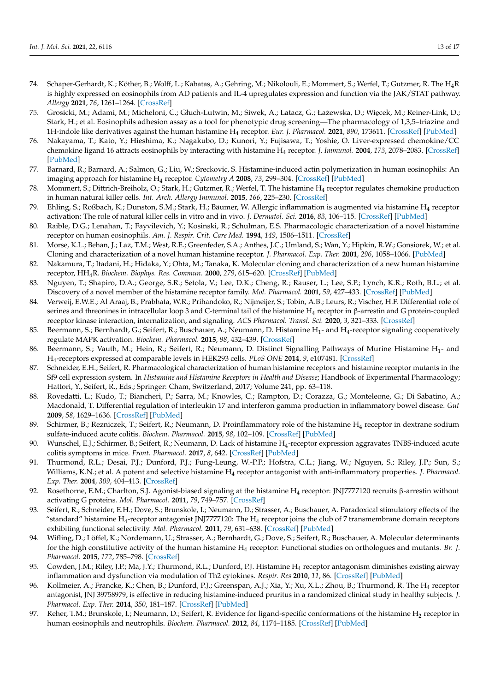- 74. Schaper-Gerhardt, K.; Köther, B.; Wolff, L.; Kabatas, A.; Gehring, M.; Nikolouli, E.; Mommert, S.; Werfel, T.; Gutzmer, R. The H4R is highly expressed on eosinophils from AD patients and IL-4 upregulates expression and function via the JAK/STAT pathway. *Allergy* **2021**, *76*, 1261–1264. [CrossRef]
- 75. Grosicki, M.; Adami, M.; Micheloni, C.; Głuch-Lutwin, M.; Siwek, A.; Latacz, G.; Łażewska, D.; Więcek, M.; Reiner-Link, D.; Stark, H.; et al. Eosinophils adhesion assay as a tool for phenotypic drug screening—The pharmacology of 1,3,5–triazine and 1H-indole like derivatives against the human histamine H<sup>4</sup> receptor. *Eur. J. Pharmacol.* **2021**, *890*, 173611. [CrossRef] [PubMed]
- 76. Nakayama, T.; Kato, Y.; Hieshima, K.; Nagakubo, D.; Kunori, Y.; Fujisawa, T.; Yoshie, O. Liver-expressed chemokine/CC chemokine ligand 16 attracts eosinophils by interacting with histamine H<sup>4</sup> receptor. *J. Immunol.* **2004**, *173*, 2078–2083. [CrossRef] [PubMed]
- 77. Barnard, R.; Barnard, A.; Salmon, G.; Liu, W.; Sreckovic, S. Histamine-induced actin polymerization in human eosinophils: An imaging approach for histamine H<sup>4</sup> receptor. *Cytometry A* **2008**, *73*, 299–304. [CrossRef] [PubMed]
- 78. Mommert, S.; Dittrich-Breiholz, O.; Stark, H.; Gutzmer, R.; Werfel, T. The histamine H<sup>4</sup> receptor regulates chemokine production in human natural killer cells. *Int. Arch. Allergy Immunol.* **2015**, *166*, 225–230. [CrossRef]
- 79. Ehling, S.; Roßbach, K.; Dunston, S.M.; Stark, H.; Bäumer, W. Allergic inflammation is augmented via histamine H<sup>4</sup> receptor activation: The role of natural killer cells in vitro and in vivo. *J. Dermatol. Sci.* **2016**, *83*, 106–115. [CrossRef] [PubMed]
- 80. Raible, D.G.; Lenahan, T.; Fayvilevich, Y.; Kosinski, R.; Schulman, E.S. Pharmacologic characterization of a novel histamine receptor on human eosinophils. *Am. J. Respir. Crit. Care Med.* **1994**, *149*, 1506–1511. [CrossRef]
- 81. Morse, K.L.; Behan, J.; Laz, T.M.; West, R.E.; Greenfeder, S.A.; Anthes, J.C.; Umland, S.; Wan, Y.; Hipkin, R.W.; Gonsiorek, W.; et al. Cloning and characterization of a novel human histamine receptor. *J. Pharmacol. Exp. Ther.* **2001**, *296*, 1058–1066. [PubMed]
- 82. Nakamura, T.; Itadani, H.; Hidaka, Y.; Ohta, M.; Tanaka, K. Molecular cloning and characterization of a new human histamine receptor, HH4R. *Biochem. Biophys. Res. Commun.* **2000**, *279*, 615–620. [CrossRef] [PubMed]
- 83. Nguyen, T.; Shapiro, D.A.; George, S.R.; Setola, V.; Lee, D.K.; Cheng, R.; Rauser, L.; Lee, S.P.; Lynch, K.R.; Roth, B.L.; et al. Discovery of a novel member of the histamine receptor family. *Mol. Pharmacol.* **2001**, *59*, 427–433. [CrossRef] [PubMed]
- 84. Verweij, E.W.E.; Al Araaj, B.; Prabhata, W.R.; Prihandoko, R.; Nijmeijer, S.; Tobin, A.B.; Leurs, R.; Vischer, H.F. Differential role of serines and threonines in intracellular loop 3 and C-terminal tail of the histamine H<sup>4</sup> receptor in β-arrestin and G protein-coupled receptor kinase interaction, internalization, and signaling. *ACS Pharmacol. Transl. Sci.* **2020**, *3*, 321–333. [CrossRef]
- 85. Beermann, S.; Bernhardt, G.; Seifert, R.; Buschauer, A.; Neumann, D. Histamine H<sub>1</sub>- and H<sub>4</sub>-receptor signaling cooperatively regulate MAPK activation. *Biochem. Pharmacol.* **2015**, *98*, 432–439. [CrossRef]
- 86. Beermann, S.; Vauth, M.; Hein, R.; Seifert, R.; Neumann, D. Distinct Signalling Pathways of Murine Histamine H<sub>1</sub>- and H<sup>4</sup> -receptors expressed at comparable levels in HEK293 cells. *PLoS ONE* **2014**, *9*, e107481. [CrossRef]
- 87. Schneider, E.H.; Seifert, R. Pharmacological characterization of human histamine receptors and histamine receptor mutants in the Sf9 cell expression system. In *Histamine and Histamine Receptors in Health and Disease*; Handbook of Experimental Pharmacology; Hattori, Y., Seifert, R., Eds.; Springer: Cham, Switzerland, 2017; Volume 241, pp. 63–118.
- 88. Rovedatti, L.; Kudo, T.; Biancheri, P.; Sarra, M.; Knowles, C.; Rampton, D.; Corazza, G.; Monteleone, G.; Di Sabatino, A.; Macdonald, T. Differential regulation of interleukin 17 and interferon gamma production in inflammatory bowel disease. *Gut* **2009**, *58*, 1629–1636. [CrossRef] [PubMed]
- 89. Schirmer, B.; Rezniczek, T.; Seifert, R.; Neumann, D. Proinflammatory role of the histamine H<sub>4</sub> receptor in dextrane sodium sulfate-induced acute colitis. *Biochem. Pharmacol.* **2015**, *98*, 102–109. [CrossRef] [PubMed]
- 90. Wunschel, E.J.; Schirmer, B.; Seifert, R.; Neumann, D. Lack of histamine H<sup>4</sup> -receptor expression aggravates TNBS-induced acute colitis symptoms in mice. *Front. Pharmacol.* **2017**, *8*, 642. [CrossRef] [PubMed]
- 91. Thurmond, R.L.; Desai, P.J.; Dunford, P.J.; Fung-Leung, W.-P.P.; Hofstra, C.L.; Jiang, W.; Nguyen, S.; Riley, J.P.; Sun, S.; Williams, K.N.; et al. A potent and selective histamine H<sub>4</sub> receptor antagonist with anti-inflammatory properties. *J. Pharmacol. Exp. Ther.* **2004**, *309*, 404–413. [CrossRef]
- 92. Rosethorne, E.M.; Charlton, S.J. Agonist-biased signaling at the histamine H<sub>4</sub> receptor: JNJ7777120 recruits β-arrestin without activating G proteins. *Mol. Pharmacol.* **2011**, *79*, 749–757. [CrossRef]
- 93. Seifert, R.; Schneider, E.H.; Dove, S.; Brunskole, I.; Neumann, D.; Strasser, A.; Buschauer, A. Paradoxical stimulatory effects of the "standard" histamine H $_4$ -receptor antagonist JNJ7777120: The H $_4$  receptor joins the club of 7 transmembrane domain receptors exhibiting functional selectivity. *Mol. Pharmacol.* **2011**, *79*, 631–638. [CrossRef] [PubMed]
- 94. Wifling, D.; Löffel, K.; Nordemann, U.; Strasser, A.; Bernhardt, G.; Dove, S.; Seifert, R.; Buschauer, A. Molecular determinants for the high constitutive activity of the human histamine H<sup>4</sup> receptor: Functional studies on orthologues and mutants. *Br. J. Pharmacol.* **2015**, *172*, 785–798. [CrossRef]
- 95. Cowden, J.M.; Riley, J.P.; Ma, J.Y.; Thurmond, R.L.; Dunford, P.J. Histamine H<sub>4</sub> receptor antagonism diminishes existing airway inflammation and dysfunction via modulation of Th2 cytokines. *Respir. Res* **2010**, *11*, 86. [CrossRef] [PubMed]
- 96. Kollmeier, A.; Francke, K.; Chen, B.; Dunford, P.J.; Greenspan, A.J.; Xia, Y.; Xu, X.L.; Zhou, B.; Thurmond, R. The H<sub>4</sub> receptor antagonist, JNJ 39758979, is effective in reducing histamine-induced pruritus in a randomized clinical study in healthy subjects. *J. Pharmacol. Exp. Ther.* **2014**, *350*, 181–187. [CrossRef] [PubMed]
- 97. Reher, T.M.; Brunskole, I.; Neumann, D.; Seifert, R. Evidence for ligand-specific conformations of the histamine H<sub>2</sub> receptor in human eosinophils and neutrophils. *Biochem. Pharmacol.* **2012**, *84*, 1174–1185. [CrossRef] [PubMed]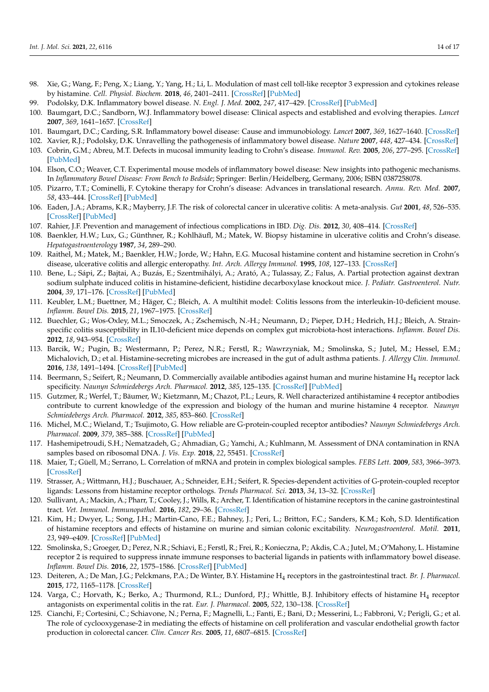- 98. Xie, G.; Wang, F.; Peng, X.; Liang, Y.; Yang, H.; Li, L. Modulation of mast cell toll-like receptor 3 expression and cytokines release by histamine. *Cell. Physiol. Biochem.* **2018**, *46*, 2401–2411. [CrossRef] [PubMed]
- 99. Podolsky, D.K. Inflammatory bowel disease. *N. Engl. J. Med.* **2002**, *247*, 417–429. [CrossRef] [PubMed]
- 100. Baumgart, D.C.; Sandborn, W.J. Inflammatory bowel disease: Clinical aspects and established and evolving therapies. *Lancet* **2007**, *369*, 1641–1657. [CrossRef]
- 101. Baumgart, D.C.; Carding, S.R. Inflammatory bowel disease: Cause and immunobiology. *Lancet* **2007**, *369*, 1627–1640. [CrossRef]
- 102. Xavier, R.J.; Podolsky, D.K. Unravelling the pathogenesis of inflammatory bowel disease. *Nature* **2007**, *448*, 427–434. [CrossRef]
- 103. Cobrin, G.M.; Abreu, M.T. Defects in mucosal immunity leading to Crohn's disease. *Immunol. Rev.* **2005**, *206*, 277–295. [CrossRef] [PubMed]
- 104. Elson, C.O.; Weaver, C.T. Experimental mouse models of inflammatory bowel disease: New insights into pathogenic mechanisms. In *Inflammatory Bowel Disease: From Bench to Bedside*; Springer: Berlin/Heidelberg, Germany, 2006; ISBN 0387258078.
- 105. Pizarro, T.T.; Cominelli, F. Cytokine therapy for Crohn's disease: Advances in translational research. *Annu. Rev. Med.* **2007**, *58*, 433–444. [CrossRef] [PubMed]
- 106. Eaden, J.A.; Abrams, K.R.; Mayberry, J.F. The risk of colorectal cancer in ulcerative colitis: A meta-analysis. *Gut* **2001**, *48*, 526–535. [CrossRef] [PubMed]
- 107. Rahier, J.F. Prevention and management of infectious complications in IBD. *Dig. Dis.* **2012**, *30*, 408–414. [CrossRef]
- 108. Baenkler, H.W.; Lux, G.; Günthner, R.; Kohlhäufl, M.; Matek, W. Biopsy histamine in ulcerative colitis and Crohn's disease. *Hepatogastroenterology* **1987**, *34*, 289–290.
- 109. Raithel, M.; Matek, M.; Baenkler, H.W.; Jorde, W.; Hahn, E.G. Mucosal histamine content and histamine secretion in Crohn's disease, ulcerative colitis and allergic enteropathy. *Int. Arch. Allergy Immunol.* **1995**, *108*, 127–133. [CrossRef]
- 110. Bene, L.; Sápi, Z.; Bajtai, A.; Buzás, E.; Szentmihályi, A.; Arató, A.; Tulassay, Z.; Falus, A. Partial protection against dextran sodium sulphate induced colitis in histamine-deficient, histidine decarboxylase knockout mice. *J. Pediatr. Gastroenterol. Nutr.* **2004**, *39*, 171–176. [CrossRef] [PubMed]
- 111. Keubler, L.M.; Buettner, M.; Häger, C.; Bleich, A. A multihit model: Colitis lessons from the interleukin-10-deficient mouse. *Inflamm. Bowel Dis.* **2015**, *21*, 1967–1975. [CrossRef]
- 112. Buechler, G.; Wos-Oxley, M.L.; Smoczek, A.; Zschemisch, N.-H.; Neumann, D.; Pieper, D.H.; Hedrich, H.J.; Bleich, A. Strainspecific colitis susceptibility in IL10-deficient mice depends on complex gut microbiota-host interactions. *Inflamm. Bowel Dis.* **2012**, *18*, 943–954. [CrossRef]
- 113. Barcik, W.; Pugin, B.; Westermann, P.; Perez, N.R.; Ferstl, R.; Wawrzyniak, M.; Smolinska, S.; Jutel, M.; Hessel, E.M.; Michalovich, D.; et al. Histamine-secreting microbes are increased in the gut of adult asthma patients. *J. Allergy Clin. Immunol.* **2016**, *138*, 1491–1494. [CrossRef] [PubMed]
- 114. Beermann, S.; Seifert, R.; Neumann, D. Commercially available antibodies against human and murine histamine H<sup>4</sup> receptor lack specificity. *Naunyn Schmiedebergs Arch. Pharmacol.* **2012**, *385*, 125–135. [CrossRef] [PubMed]
- 115. Gutzmer, R.; Werfel, T.; Bäumer, W.; Kietzmann, M.; Chazot, P.L.; Leurs, R. Well characterized antihistamine 4 receptor antibodies contribute to current knowledge of the expression and biology of the human and murine histamine 4 receptor. *Naunyn Schmiedebergs Arch. Pharmacol.* **2012**, *385*, 853–860. [CrossRef]
- 116. Michel, M.C.; Wieland, T.; Tsujimoto, G. How reliable are G-protein-coupled receptor antibodies? *Naunyn Schmiedebergs Arch. Pharmacol.* **2009**, *379*, 385–388. [CrossRef] [PubMed]
- 117. Hashemipetroudi, S.H.; Nematzadeh, G.; Ahmadian, G.; Yamchi, A.; Kuhlmann, M. Assessment of DNA contamination in RNA samples based on ribosomal DNA. *J. Vis. Exp.* **2018**, *22*, 55451. [CrossRef]
- 118. Maier, T.; Güell, M.; Serrano, L. Correlation of mRNA and protein in complex biological samples. *FEBS Lett.* **2009**, *583*, 3966–3973. [CrossRef]
- 119. Strasser, A.; Wittmann, H.J.; Buschauer, A.; Schneider, E.H.; Seifert, R. Species-dependent activities of G-protein-coupled receptor ligands: Lessons from histamine receptor orthologs. *Trends Pharmacol. Sci.* **2013**, *34*, 13–32. [CrossRef]
- 120. Sullivant, A.; Mackin, A.; Pharr, T.; Cooley, J.; Wills, R.; Archer, T. Identification of histamine receptors in the canine gastrointestinal tract. *Vet. Immunol. Immunopathol.* **2016**, *182*, 29–36. [CrossRef]
- 121. Kim, H.; Dwyer, L.; Song, J.H.; Martin-Cano, F.E.; Bahney, J.; Peri, L.; Britton, F.C.; Sanders, K.M.; Koh, S.D. Identification of histamine receptors and effects of histamine on murine and simian colonic excitability. *Neurogastroenterol. Motil.* **2011**, *23*, 949–e409. [CrossRef] [PubMed]
- 122. Smolinska, S.; Groeger, D.; Perez, N.R.; Schiavi, E.; Ferstl, R.; Frei, R.; Konieczna, P.; Akdis, C.A.; Jutel, M.; O'Mahony, L. Histamine receptor 2 is required to suppress innate immune responses to bacterial ligands in patients with inflammatory bowel disease. *Inflamm. Bowel Dis.* **2016**, *22*, 1575–1586. [CrossRef] [PubMed]
- 123. Deiteren, A.; De Man, J.G.; Pelckmans, P.A.; De Winter, B.Y. Histamine H<sup>4</sup> receptors in the gastrointestinal tract. *Br. J. Pharmacol.* **2015**, *172*, 1165–1178. [CrossRef]
- 124. Varga, C.; Horvath, K.; Berko, A.; Thurmond, R.L.; Dunford, P.J.; Whittle, B.J. Inhibitory effects of histamine H<sub>4</sub> receptor antagonists on experimental colitis in the rat. *Eur. J. Pharmacol.* **2005**, *522*, 130–138. [CrossRef]
- 125. Cianchi, F.; Cortesini, C.; Schiavone, N.; Perna, F.; Magnelli, L.; Fanti, E.; Bani, D.; Messerini, L.; Fabbroni, V.; Perigli, G.; et al. The role of cyclooxygenase-2 in mediating the effects of histamine on cell proliferation and vascular endothelial growth factor production in colorectal cancer. *Clin. Cancer Res.* **2005**, *11*, 6807–6815. [CrossRef]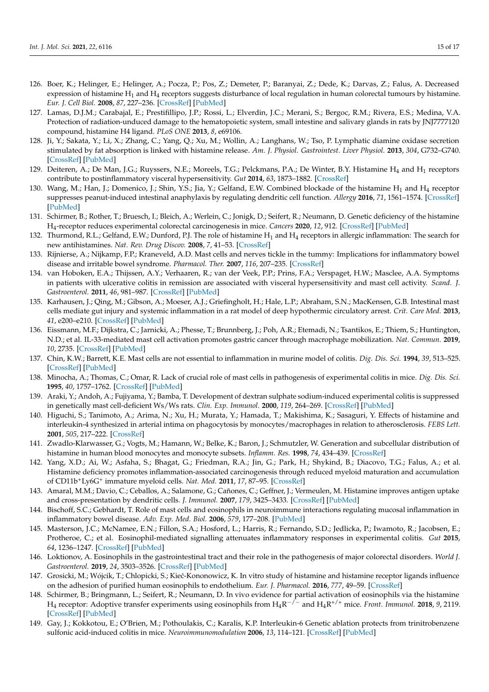- 126. Boer, K.; Helinger, E.; Helinger, A.; Pocza, P.; Pos, Z.; Demeter, P.; Baranyai, Z.; Dede, K.; Darvas, Z.; Falus, A. Decreased expression of histamine  $H_1$  and  $H_4$  receptors suggests disturbance of local regulation in human colorectal tumours by histamine. *Eur. J. Cell Biol.* **2008**, *87*, 227–236. [CrossRef] [PubMed]
- 127. Lamas, D.J.M.; Carabajal, E.; Prestifillipo, J.P.; Rossi, L.; Elverdin, J.C.; Merani, S.; Bergoc, R.M.; Rivera, E.S.; Medina, V.A. Protection of radiation-unduced damage to the hematopoietic system, small intestine and salivary glands in rats by JNJ7777120 compound, histamine H4 ligand. *PLoS ONE* **2013**, *8*, e69106.
- 128. Ji, Y.; Sakata, Y.; Li, X.; Zhang, C.; Yang, Q.; Xu, M.; Wollin, A.; Langhans, W.; Tso, P. Lymphatic diamine oxidase secretion stimulated by fat absorption is linked with histamine release. *Am. J. Physiol. Gastrointest. Liver Physiol.* **2013**, *304*, G732–G740. [CrossRef] [PubMed]
- 129. Deiteren, A.; De Man, J.G.; Ruyssers, N.E.; Moreels, T.G.; Pelckmans, P.A.; De Winter, B.Y. Histamine H<sup>4</sup> and H<sup>1</sup> receptors contribute to postinflammatory visceral hypersensitivity. *Gut* **2014**, *63*, 1873–1882. [CrossRef]
- 130. Wang, M.; Han, J.; Domenico, J.; Shin, Y.S.; Jia, Y.; Gelfand, E.W. Combined blockade of the histamine  $H_1$  and  $H_4$  receptor suppresses peanut-induced intestinal anaphylaxis by regulating dendritic cell function. *Allergy* **2016**, *71*, 1561–1574. [CrossRef] [PubMed]
- 131. Schirmer, B.; Rother, T.; Bruesch, I.; Bleich, A.; Werlein, C.; Jonigk, D.; Seifert, R.; Neumann, D. Genetic deficiency of the histamine H<sup>4</sup> -receptor reduces experimental colorectal carcinogenesis in mice. *Cancers* **2020**, *12*, 912. [CrossRef] [PubMed]
- 132. Thurmond, R.L.; Gelfand, E.W.; Dunford, P.J. The role of histamine  $H_1$  and  $H_4$  receptors in allergic inflammation: The search for new antihistamines. *Nat. Rev. Drug Discov.* **2008**, *7*, 41–53. [CrossRef]
- 133. Rijnierse, A.; Nijkamp, F.P.; Kraneveld, A.D. Mast cells and nerves tickle in the tummy: Implications for inflammatory bowel disease and irritable bowel syndrome. *Pharmacol. Ther.* **2007**, *116*, 207–235. [CrossRef]
- 134. van Hoboken, E.A.; Thijssen, A.Y.; Verhaaren, R.; van der Veek, P.P.; Prins, F.A.; Verspaget, H.W.; Masclee, A.A. Symptoms in patients with ulcerative colitis in remission are associated with visceral hypersensitivity and mast cell activity. *Scand. J. Gastroenterol.* **2011**, *46*, 981–987. [CrossRef] [PubMed]
- 135. Karhausen, J.; Qing, M.; Gibson, A.; Moeser, A.J.; Griefingholt, H.; Hale, L.P.; Abraham, S.N.; MacKensen, G.B. Intestinal mast cells mediate gut injury and systemic inflammation in a rat model of deep hypothermic circulatory arrest. *Crit. Care Med.* **2013**, *41*, e200–e210. [CrossRef] [PubMed]
- 136. Eissmann, M.F.; Dijkstra, C.; Jarnicki, A.; Phesse, T.; Brunnberg, J.; Poh, A.R.; Etemadi, N.; Tsantikos, E.; Thiem, S.; Huntington, N.D.; et al. IL-33-mediated mast cell activation promotes gastric cancer through macrophage mobilization. *Nat. Commun.* **2019**, *10*, 2735. [CrossRef] [PubMed]
- 137. Chin, K.W.; Barrett, K.E. Mast cells are not essential to inflammation in murine model of colitis. *Dig. Dis. Sci.* **1994**, *39*, 513–525. [CrossRef] [PubMed]
- 138. Minocha, A.; Thomas, C.; Omar, R. Lack of crucial role of mast cells in pathogenesis of experimental colitis in mice. *Dig. Dis. Sci.* **1995**, *40*, 1757–1762. [CrossRef] [PubMed]
- 139. Araki, Y.; Andoh, A.; Fujiyama, Y.; Bamba, T. Development of dextran sulphate sodium-induced experimental colitis is suppressed in genetically mast cell-deficient Ws/Ws rats. *Clin. Exp. Immunol.* **2000**, *119*, 264–269. [CrossRef] [PubMed]
- 140. Higuchi, S.; Tanimoto, A.; Arima, N.; Xu, H.; Murata, Y.; Hamada, T.; Makishima, K.; Sasaguri, Y. Effects of histamine and interleukin-4 synthesized in arterial intima on phagocytosis by monocytes/macrophages in relation to atherosclerosis. *FEBS Lett.* **2001**, *505*, 217–222. [CrossRef]
- 141. Zwadlo-Klarwasser, G.; Vogts, M.; Hamann, W.; Belke, K.; Baron, J.; Schmutzler, W. Generation and subcellular distribution of histamine in human blood monocytes and monocyte subsets. *Inflamm. Res.* **1998**, *74*, 434–439. [CrossRef]
- 142. Yang, X.D.; Ai, W.; Asfaha, S.; Bhagat, G.; Friedman, R.A.; Jin, G.; Park, H.; Shykind, B.; Diacovo, T.G.; Falus, A.; et al. Histamine deficiency promotes inflammation-associated carcinogenesis through reduced myeloid maturation and accumulation of CD11b+Ly6G<sup>+</sup> immature myeloid cells. *Nat. Med.* **2011**, *17*, 87–95. [CrossRef]
- 143. Amaral, M.M.; Davio, C.; Ceballos, A.; Salamone, G.; Cañones, C.; Geffner, J.; Vermeulen, M. Histamine improves antigen uptake and cross-presentation by dendritic cells. *J. Immunol.* **2007**, *179*, 3425–3433. [CrossRef] [PubMed]
- 144. Bischoff, S.C.; Gebhardt, T. Role of mast cells and eosinophils in neuroimmune interactions regulating mucosal inflammation in inflammatory bowel disease. *Adv. Exp. Med. Biol.* **2006**, *579*, 177–208. [PubMed]
- 145. Masterson, J.C.; McNamee, E.N.; Fillon, S.A.; Hosford, L.; Harris, R.; Fernando, S.D.; Jedlicka, P.; Iwamoto, R.; Jacobsen, E.; Protheroe, C.; et al. Eosinophil-mediated signalling attenuates inflammatory responses in experimental colitis. *Gut* **2015**, *64*, 1236–1247. [CrossRef] [PubMed]
- 146. Loktionov, A. Eosinophils in the gastrointestinal tract and their role in the pathogenesis of major colorectal disorders. *World J. Gastroenterol.* **2019**, *24*, 3503–3526. [CrossRef] [PubMed]
- 147. Grosicki, M.; Wójcik, T.; Chlopicki, S.; Kie´c-Kononowicz, K. In vitro study of histamine and histamine receptor ligands influence on the adhesion of purified human eosinophils to endothelium. *Eur. J. Pharmacol.* **2016**, *777*, 49–59. [CrossRef]
- 148. Schirmer, B.; Bringmann, L.; Seifert, R.; Neumann, D. In vivo evidence for partial activation of eosinophils via the histamine H<sup>4</sup> receptor: Adoptive transfer experiments using eosinophils from H4R <sup>−</sup>/<sup>−</sup> and H4<sup>R</sup> +/+ mice. *Front. Immunol.* **2018**, *9*, 2119. [CrossRef] [PubMed]
- 149. Gay, J.; Kokkotou, E.; O'Brien, M.; Pothoulakis, C.; Karalis, K.P. Interleukin-6 Genetic ablation protects from trinitrobenzene sulfonic acid-induced colitis in mice. *Neuroimmunomodulation* **2006**, *13*, 114–121. [CrossRef] [PubMed]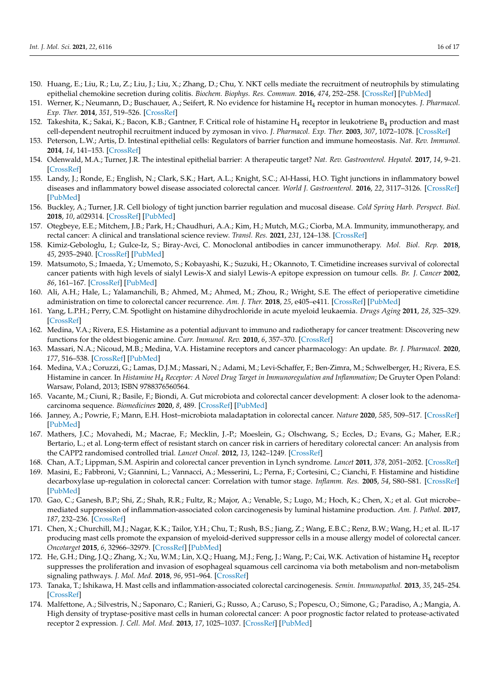- 150. Huang, E.; Liu, R.; Lu, Z.; Liu, J.; Liu, X.; Zhang, D.; Chu, Y. NKT cells mediate the recruitment of neutrophils by stimulating epithelial chemokine secretion during colitis. *Biochem. Biophys. Res. Commun.* **2016**, *474*, 252–258. [CrossRef] [PubMed]
- 151. Werner, K.; Neumann, D.; Buschauer, A.; Seifert, R. No evidence for histamine H<sup>4</sup> receptor in human monocytes. *J. Pharmacol. Exp. Ther.* **2014**, *351*, 519–526. [CrossRef]
- 152. Takeshita, K.; Sakai, K.; Bacon, K.B.; Gantner, F. Critical role of histamine  $H_4$  receptor in leukotriene  $B_4$  production and mast cell-dependent neutrophil recruitment induced by zymosan in vivo. *J. Pharmacol. Exp. Ther.* **2003**, *307*, 1072–1078. [CrossRef]
- 153. Peterson, L.W.; Artis, D. Intestinal epithelial cells: Regulators of barrier function and immune homeostasis. *Nat. Rev. Immunol.* **2014**, *14*, 141–153. [CrossRef]
- 154. Odenwald, M.A.; Turner, J.R. The intestinal epithelial barrier: A therapeutic target? *Nat. Rev. Gastroenterol. Hepatol.* **2017**, *14*, 9–21. [CrossRef]
- 155. Landy, J.; Ronde, E.; English, N.; Clark, S.K.; Hart, A.L.; Knight, S.C.; Al-Hassi, H.O. Tight junctions in inflammatory bowel diseases and inflammatory bowel disease associated colorectal cancer. *World J. Gastroenterol.* **2016**, *22*, 3117–3126. [CrossRef] [PubMed]
- 156. Buckley, A.; Turner, J.R. Cell biology of tight junction barrier regulation and mucosal disease. *Cold Spring Harb. Perspect. Biol.* **2018**, *10*, a029314. [CrossRef] [PubMed]
- 157. Otegbeye, E.E.; Mitchem, J.B.; Park, H.; Chaudhuri, A.A.; Kim, H.; Mutch, M.G.; Ciorba, M.A. Immunity, immunotherapy, and rectal cancer: A clinical and translational science review. *Transl. Res.* **2021**, *231*, 124–138. [CrossRef]
- 158. Kimiz-Gebologlu, I.; Gulce-Iz, S.; Biray-Avci, C. Monoclonal antibodies in cancer immunotherapy. *Mol. Biol. Rep.* **2018**, *45*, 2935–2940. [CrossRef] [PubMed]
- 159. Matsumoto, S.; Imaeda, Y.; Umemoto, S.; Kobayashi, K.; Suzuki, H.; Okannoto, T. Cimetidine increases survival of colorectal cancer patients with high levels of sialyl Lewis-X and sialyl Lewis-A epitope expression on tumour cells. *Br. J. Cancer* **2002**, *86*, 161–167. [CrossRef] [PubMed]
- 160. Ali, A.H.; Hale, L.; Yalamanchili, B.; Ahmed, M.; Ahmed, M.; Zhou, R.; Wright, S.E. The effect of perioperative cimetidine administration on time to colorectal cancer recurrence. *Am. J. Ther.* **2018**, *25*, e405–e411. [CrossRef] [PubMed]
- 161. Yang, L.P.H.; Perry, C.M. Spotlight on histamine dihydrochloride in acute myeloid leukaemia. *Drugs Aging* **2011**, *28*, 325–329. [CrossRef]
- 162. Medina, V.A.; Rivera, E.S. Histamine as a potential adjuvant to immuno and radiotherapy for cancer treatment: Discovering new functions for the oldest biogenic amine. *Curr. Immunol. Rev.* **2010**, *6*, 357–370. [CrossRef]
- 163. Massari, N.A.; Nicoud, M.B.; Medina, V.A. Histamine receptors and cancer pharmacology: An update. *Br. J. Pharmacol.* **2020**, *177*, 516–538. [CrossRef] [PubMed]
- 164. Medina, V.A.; Coruzzi, G.; Lamas, D.J.M.; Massari, N.; Adami, M.; Levi-Schaffer, F.; Ben-Zimra, M.; Schwelberger, H.; Rivera, E.S. Histamine in cancer. In *Histamine H<sup>4</sup> Receptor: A Novel Drug Target in Immunoregulation and Inflammation*; De Gruyter Open Poland: Warsaw, Poland, 2013; ISBN 9788376560564.
- 165. Vacante, M.; Ciuni, R.; Basile, F.; Biondi, A. Gut microbiota and colorectal cancer development: A closer look to the adenomacarcinoma sequence. *Biomedicines* **2020**, *8*, 489. [CrossRef] [PubMed]
- 166. Janney, A.; Powrie, F.; Mann, E.H. Host–microbiota maladaptation in colorectal cancer. *Nature* **2020**, *585*, 509–517. [CrossRef] [PubMed]
- 167. Mathers, J.C.; Movahedi, M.; Macrae, F.; Mecklin, J.-P.; Moeslein, G.; Olschwang, S.; Eccles, D.; Evans, G.; Maher, E.R.; Bertario, L.; et al. Long-term effect of resistant starch on cancer risk in carriers of hereditary colorectal cancer: An analysis from the CAPP2 randomised controlled trial. *Lancet Oncol.* **2012**, *13*, 1242–1249. [CrossRef]
- 168. Chan, A.T.; Lippman, S.M. Aspirin and colorectal cancer prevention in Lynch syndrome. *Lancet* **2011**, *378*, 2051–2052. [CrossRef]
- 169. Masini, E.; Fabbroni, V.; Giannini, L.; Vannacci, A.; Messerini, L.; Perna, F.; Cortesini, C.; Cianchi, F. Histamine and histidine decarboxylase up-regulation in colorectal cancer: Correlation with tumor stage. *Inflamm. Res.* **2005**, *54*, S80–S81. [CrossRef] [PubMed]
- 170. Gao, C.; Ganesh, B.P.; Shi, Z.; Shah, R.R.; Fultz, R.; Major, A.; Venable, S.; Lugo, M.; Hoch, K.; Chen, X.; et al. Gut microbe– mediated suppression of inflammation-associated colon carcinogenesis by luminal histamine production. *Am. J. Pathol.* **2017**, *187*, 232–236. [CrossRef]
- 171. Chen, X.; Churchill, M.J.; Nagar, K.K.; Tailor, Y.H.; Chu, T.; Rush, B.S.; Jiang, Z.; Wang, E.B.C.; Renz, B.W.; Wang, H.; et al. IL-17 producing mast cells promote the expansion of myeloid-derived suppressor cells in a mouse allergy model of colorectal cancer. *Oncotarget* **2015**, *6*, 32966–32979. [CrossRef] [PubMed]
- 172. He, G.H.; Ding, J.Q.; Zhang, X.; Xu, W.M.; Lin, X.Q.; Huang, M.J.; Feng, J.; Wang, P.; Cai, W.K. Activation of histamine H<sup>4</sup> receptor suppresses the proliferation and invasion of esophageal squamous cell carcinoma via both metabolism and non-metabolism signaling pathways. *J. Mol. Med.* **2018**, *96*, 951–964. [CrossRef]
- 173. Tanaka, T.; Ishikawa, H. Mast cells and inflammation-associated colorectal carcinogenesis. *Semin. Immunopathol.* **2013**, *35*, 245–254. [CrossRef]
- 174. Malfettone, A.; Silvestris, N.; Saponaro, C.; Ranieri, G.; Russo, A.; Caruso, S.; Popescu, O.; Simone, G.; Paradiso, A.; Mangia, A. High density of tryptase-positive mast cells in human colorectal cancer: A poor prognostic factor related to protease-activated receptor 2 expression. *J. Cell. Mol. Med.* **2013**, *17*, 1025–1037. [CrossRef] [PubMed]